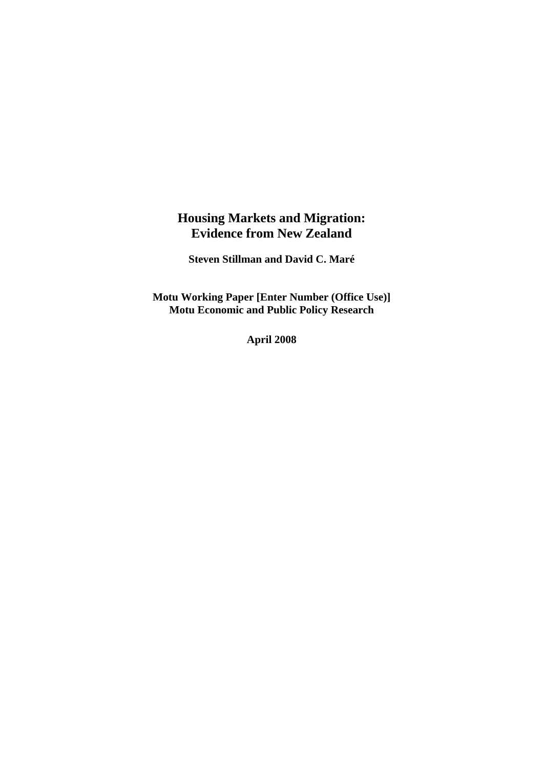# **Housing Markets and Migration: Evidence from New Zealand**

**Steven Stillman and David C. Maré** 

**Motu Working Paper [Enter Number (Office Use)] Motu Economic and Public Policy Research**

**April 2008**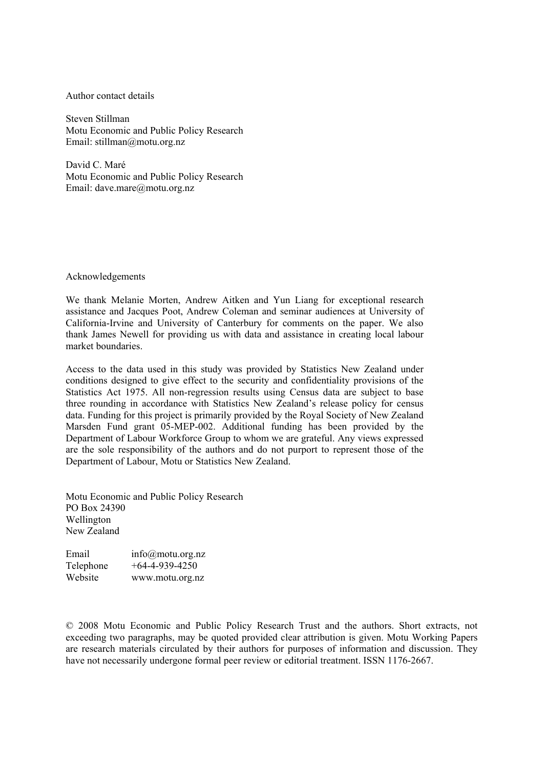Author contact details

Steven Stillman Motu Economic and Public Policy Research Email: stillman@motu.org.nz

David C. Maré Motu Economic and Public Policy Research Email: dave.mare@motu.org.nz

Acknowledgements

We thank Melanie Morten, Andrew Aitken and Yun Liang for exceptional research assistance and Jacques Poot, Andrew Coleman and seminar audiences at University of California-Irvine and University of Canterbury for comments on the paper. We also thank James Newell for providing us with data and assistance in creating local labour market boundaries.

Access to the data used in this study was provided by Statistics New Zealand under conditions designed to give effect to the security and confidentiality provisions of the Statistics Act 1975. All non-regression results using Census data are subject to base three rounding in accordance with Statistics New Zealand's release policy for census data. Funding for this project is primarily provided by the Royal Society of New Zealand Marsden Fund grant 05-MEP-002. Additional funding has been provided by the Department of Labour Workforce Group to whom we are grateful. Any views expressed are the sole responsibility of the authors and do not purport to represent those of the Department of Labour, Motu or Statistics New Zealand.

Motu Economic and Public Policy Research PO Box 24390 Wellington New Zealand

Email info@motu.org.nz Telephone +64-4-939-4250 Website www.motu.org.nz

© 2008 Motu Economic and Public Policy Research Trust and the authors. Short extracts, not exceeding two paragraphs, may be quoted provided clear attribution is given. Motu Working Papers are research materials circulated by their authors for purposes of information and discussion. They have not necessarily undergone formal peer review or editorial treatment. ISSN 1176-2667.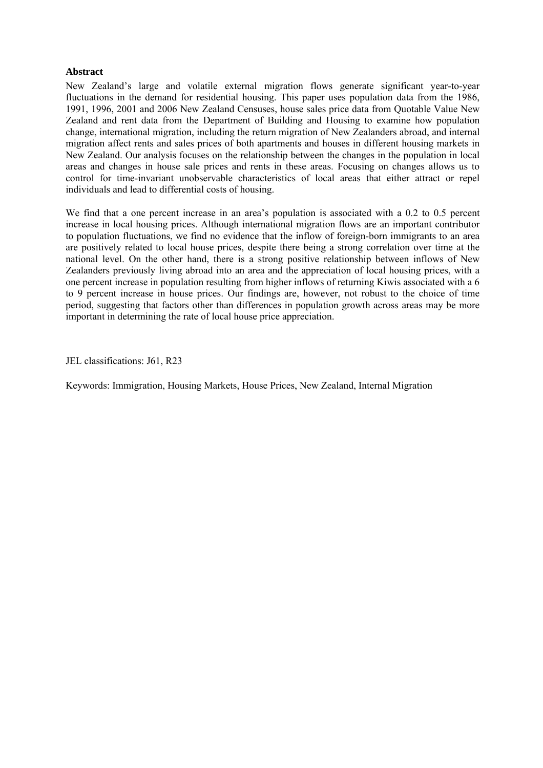### **Abstract**

New Zealand's large and volatile external migration flows generate significant year-to-year fluctuations in the demand for residential housing. This paper uses population data from the 1986, 1991, 1996, 2001 and 2006 New Zealand Censuses, house sales price data from Quotable Value New Zealand and rent data from the Department of Building and Housing to examine how population change, international migration, including the return migration of New Zealanders abroad, and internal migration affect rents and sales prices of both apartments and houses in different housing markets in New Zealand. Our analysis focuses on the relationship between the changes in the population in local areas and changes in house sale prices and rents in these areas. Focusing on changes allows us to control for time-invariant unobservable characteristics of local areas that either attract or repel individuals and lead to differential costs of housing.

We find that a one percent increase in an area's population is associated with a 0.2 to 0.5 percent increase in local housing prices. Although international migration flows are an important contributor to population fluctuations, we find no evidence that the inflow of foreign-born immigrants to an area are positively related to local house prices, despite there being a strong correlation over time at the national level. On the other hand, there is a strong positive relationship between inflows of New Zealanders previously living abroad into an area and the appreciation of local housing prices, with a one percent increase in population resulting from higher inflows of returning Kiwis associated with a 6 to 9 percent increase in house prices. Our findings are, however, not robust to the choice of time period, suggesting that factors other than differences in population growth across areas may be more important in determining the rate of local house price appreciation.

JEL classifications: J61, R23

Keywords: Immigration, Housing Markets, House Prices, New Zealand, Internal Migration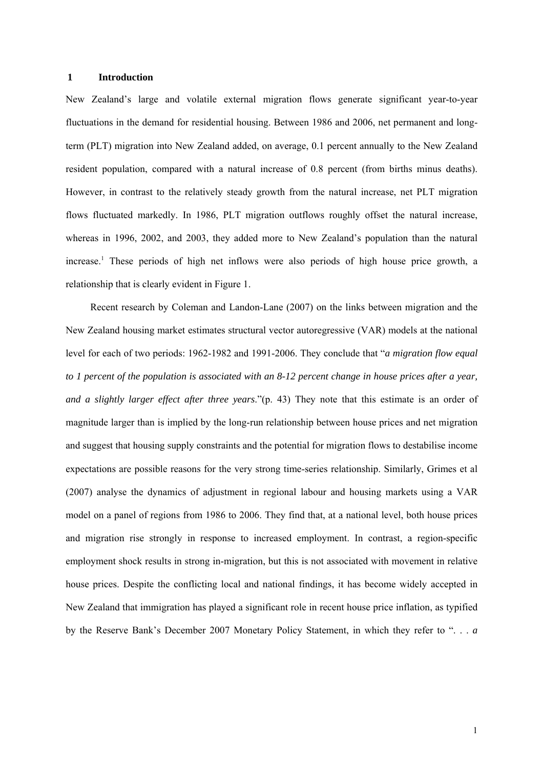### **1 Introduction**

New Zealand's large and volatile external migration flows generate significant year-to-year fluctuations in the demand for residential housing. Between 1986 and 2006, net permanent and longterm (PLT) migration into New Zealand added, on average, 0.1 percent annually to the New Zealand resident population, compared with a natural increase of 0.8 percent (from births minus deaths). However, in contrast to the relatively steady growth from the natural increase, net PLT migration flows fluctuated markedly. In 1986, PLT migration outflows roughly offset the natural increase, whereas in 1996, 2002, and 2003, they added more to New Zealand's population than the natural increase.<sup>1</sup> These periods of high net inflows were also periods of high house price growth, a relationship that is clearly evident in Figure 1.

Recent research by Coleman and Landon-Lane (2007) on the links between migration and the New Zealand housing market estimates structural vector autoregressive (VAR) models at the national level for each of two periods: 1962-1982 and 1991-2006. They conclude that "*a migration flow equal to 1 percent of the population is associated with an 8-12 percent change in house prices after a year, and a slightly larger effect after three years*."(p. 43) They note that this estimate is an order of magnitude larger than is implied by the long-run relationship between house prices and net migration and suggest that housing supply constraints and the potential for migration flows to destabilise income expectations are possible reasons for the very strong time-series relationship. Similarly, Grimes et al (2007) analyse the dynamics of adjustment in regional labour and housing markets using a VAR model on a panel of regions from 1986 to 2006. They find that, at a national level, both house prices and migration rise strongly in response to increased employment. In contrast, a region-specific employment shock results in strong in-migration, but this is not associated with movement in relative house prices. Despite the conflicting local and national findings, it has become widely accepted in New Zealand that immigration has played a significant role in recent house price inflation, as typified by the Reserve Bank's December 2007 Monetary Policy Statement, in which they refer to ". . . *a*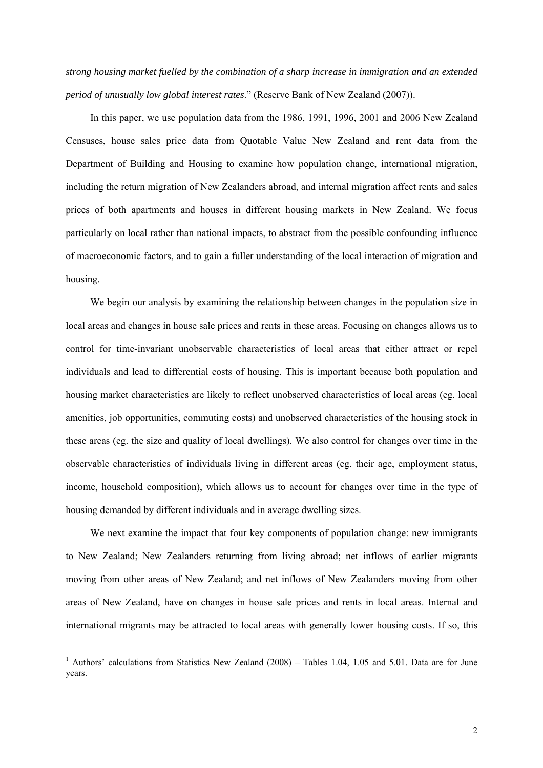*strong housing market fuelled by the combination of a sharp increase in immigration and an extended period of unusually low global interest rates*." (Reserve Bank of New Zealand (2007)).

In this paper, we use population data from the 1986, 1991, 1996, 2001 and 2006 New Zealand Censuses, house sales price data from Quotable Value New Zealand and rent data from the Department of Building and Housing to examine how population change, international migration, including the return migration of New Zealanders abroad, and internal migration affect rents and sales prices of both apartments and houses in different housing markets in New Zealand. We focus particularly on local rather than national impacts, to abstract from the possible confounding influence of macroeconomic factors, and to gain a fuller understanding of the local interaction of migration and housing.

We begin our analysis by examining the relationship between changes in the population size in local areas and changes in house sale prices and rents in these areas. Focusing on changes allows us to control for time-invariant unobservable characteristics of local areas that either attract or repel individuals and lead to differential costs of housing. This is important because both population and housing market characteristics are likely to reflect unobserved characteristics of local areas (eg. local amenities, job opportunities, commuting costs) and unobserved characteristics of the housing stock in these areas (eg. the size and quality of local dwellings). We also control for changes over time in the observable characteristics of individuals living in different areas (eg. their age, employment status, income, household composition), which allows us to account for changes over time in the type of housing demanded by different individuals and in average dwelling sizes.

We next examine the impact that four key components of population change: new immigrants to New Zealand; New Zealanders returning from living abroad; net inflows of earlier migrants moving from other areas of New Zealand; and net inflows of New Zealanders moving from other areas of New Zealand, have on changes in house sale prices and rents in local areas. Internal and international migrants may be attracted to local areas with generally lower housing costs. If so, this

 $\overline{a}$ 

<sup>&</sup>lt;sup>1</sup> Authors' calculations from Statistics New Zealand (2008) – Tables 1.04, 1.05 and 5.01. Data are for June years.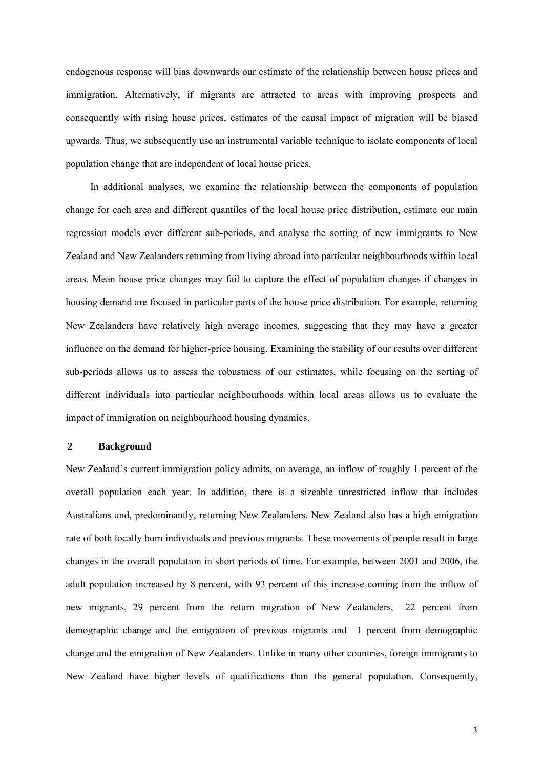endogenous response will bias downwards our estimate of the relationship between house prices and immigration. Alternatively, if migrants are attracted to areas with improving prospects and consequently with rising house prices, estimates of the causal impact of migration will be biased upwards. Thus, we subsequently use an instrumental variable technique to isolate components of local population change that are independent of local house prices.

In additional analyses, we examine the relationship between the components of population change for each area and different quantiles of the local house price distribution, estimate our main regression models over different sub-periods, and analyse the sorting of new immigrants to New Zealand and New Zealanders returning from living abroad into particular neighbourhoods within local areas. Mean house price changes may fail to capture the effect of population changes if changes in housing demand are focused in particular parts of the house price distribution. For example, returning New Zealanders have relatively high average incomes, suggesting that they may have a greater influence on the demand for higher-price housing. Examining the stability of our results over different sub-periods allows us to assess the robustness of our estimates, while focusing on the sorting of different individuals into particular neighbourhoods within local areas allows us to evaluate the impact of immigration on neighbourhood housing dynamics.

### **2 Background**

New Zealand's current immigration policy admits, on average, an inflow of roughly 1 percent of the overall population each year. In addition, there is a sizeable unrestricted inflow that includes Australians and, predominantly, returning New Zealanders. New Zealand also has a high emigration rate of both locally born individuals and previous migrants. These movements of people result in large changes in the overall population in short periods of time. For example, between 2001 and 2006, the adult population increased by 8 percent, with 93 percent of this increase coming from the inflow of new migrants, 29 percent from the return migration of New Zealanders, −22 percent from demographic change and the emigration of previous migrants and −1 percent from demographic change and the emigration of New Zealanders. Unlike in many other countries, foreign immigrants to New Zealand have higher levels of qualifications than the general population. Consequently,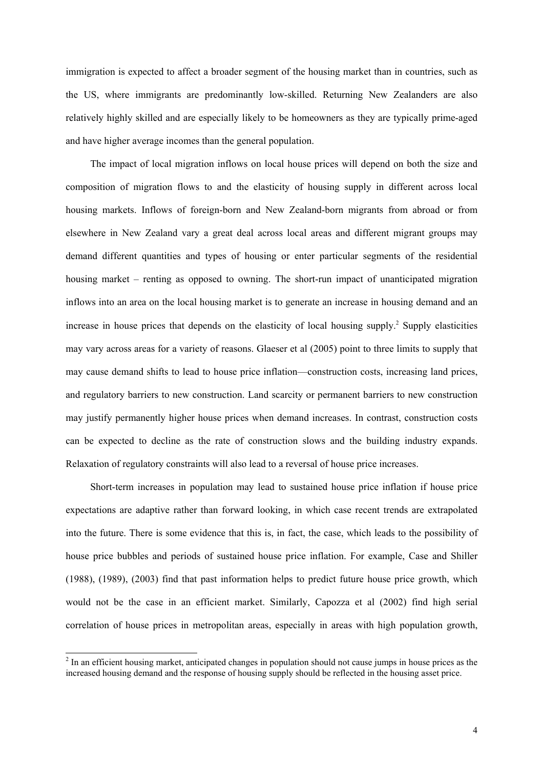immigration is expected to affect a broader segment of the housing market than in countries, such as the US, where immigrants are predominantly low-skilled. Returning New Zealanders are also relatively highly skilled and are especially likely to be homeowners as they are typically prime-aged and have higher average incomes than the general population.

The impact of local migration inflows on local house prices will depend on both the size and composition of migration flows to and the elasticity of housing supply in different across local housing markets. Inflows of foreign-born and New Zealand-born migrants from abroad or from elsewhere in New Zealand vary a great deal across local areas and different migrant groups may demand different quantities and types of housing or enter particular segments of the residential housing market – renting as opposed to owning. The short-run impact of unanticipated migration inflows into an area on the local housing market is to generate an increase in housing demand and an increase in house prices that depends on the elasticity of local housing supply.<sup>2</sup> Supply elasticities may vary across areas for a variety of reasons. Glaeser et al (2005) point to three limits to supply that may cause demand shifts to lead to house price inflation—construction costs, increasing land prices, and regulatory barriers to new construction. Land scarcity or permanent barriers to new construction may justify permanently higher house prices when demand increases. In contrast, construction costs can be expected to decline as the rate of construction slows and the building industry expands. Relaxation of regulatory constraints will also lead to a reversal of house price increases.

Short-term increases in population may lead to sustained house price inflation if house price expectations are adaptive rather than forward looking, in which case recent trends are extrapolated into the future. There is some evidence that this is, in fact, the case, which leads to the possibility of house price bubbles and periods of sustained house price inflation. For example, Case and Shiller (1988), (1989), (2003) find that past information helps to predict future house price growth, which would not be the case in an efficient market. Similarly, Capozza et al (2002) find high serial correlation of house prices in metropolitan areas, especially in areas with high population growth,

<sup>&</sup>lt;sup>2</sup> In an efficient housing market, anticipated changes in population should not cause jumps in house prices as the increased housing demand and the response of housing supply should be reflected in the housing asset price.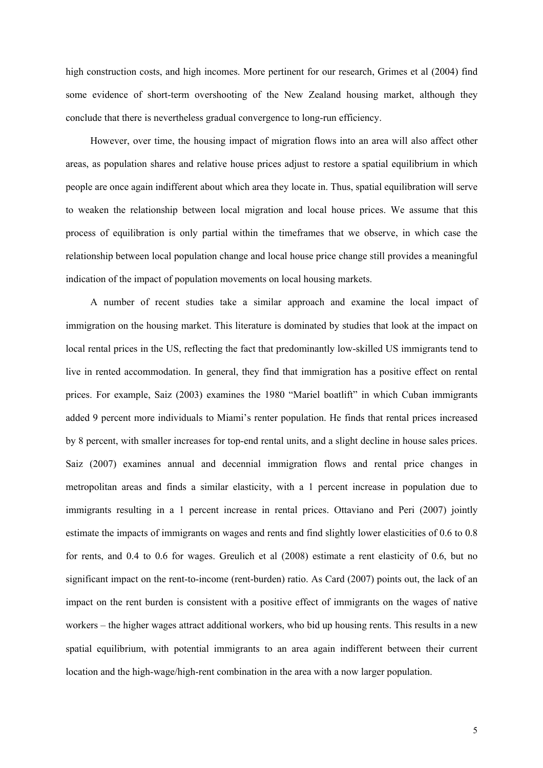high construction costs, and high incomes. More pertinent for our research, Grimes et al (2004) find some evidence of short-term overshooting of the New Zealand housing market, although they conclude that there is nevertheless gradual convergence to long-run efficiency.

However, over time, the housing impact of migration flows into an area will also affect other areas, as population shares and relative house prices adjust to restore a spatial equilibrium in which people are once again indifferent about which area they locate in. Thus, spatial equilibration will serve to weaken the relationship between local migration and local house prices. We assume that this process of equilibration is only partial within the timeframes that we observe, in which case the relationship between local population change and local house price change still provides a meaningful indication of the impact of population movements on local housing markets.

A number of recent studies take a similar approach and examine the local impact of immigration on the housing market. This literature is dominated by studies that look at the impact on local rental prices in the US, reflecting the fact that predominantly low-skilled US immigrants tend to live in rented accommodation. In general, they find that immigration has a positive effect on rental prices. For example, Saiz (2003) examines the 1980 "Mariel boatlift" in which Cuban immigrants added 9 percent more individuals to Miami's renter population. He finds that rental prices increased by 8 percent, with smaller increases for top-end rental units, and a slight decline in house sales prices. Saiz (2007) examines annual and decennial immigration flows and rental price changes in metropolitan areas and finds a similar elasticity, with a 1 percent increase in population due to immigrants resulting in a 1 percent increase in rental prices. Ottaviano and Peri (2007) jointly estimate the impacts of immigrants on wages and rents and find slightly lower elasticities of 0.6 to 0.8 for rents, and 0.4 to 0.6 for wages. Greulich et al (2008) estimate a rent elasticity of 0.6, but no significant impact on the rent-to-income (rent-burden) ratio. As Card (2007) points out, the lack of an impact on the rent burden is consistent with a positive effect of immigrants on the wages of native workers – the higher wages attract additional workers, who bid up housing rents. This results in a new spatial equilibrium, with potential immigrants to an area again indifferent between their current location and the high-wage/high-rent combination in the area with a now larger population.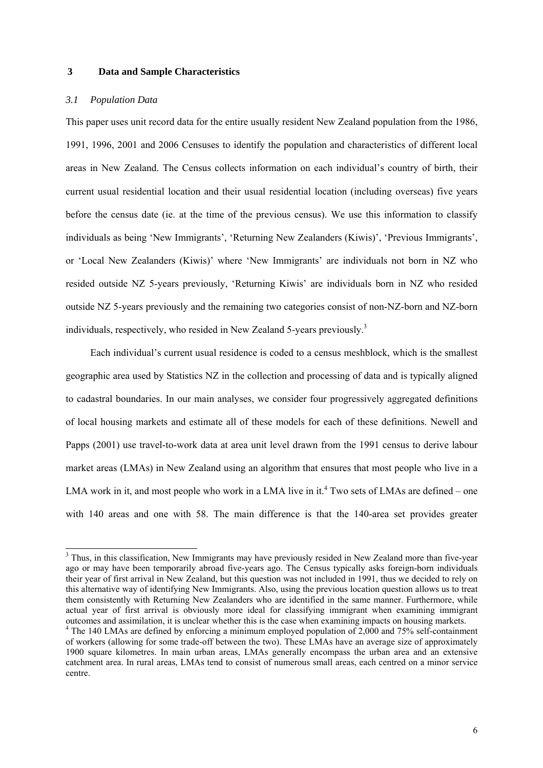#### **3 Data and Sample Characteristics**

#### *3.1 Population Data*

This paper uses unit record data for the entire usually resident New Zealand population from the 1986, 1991, 1996, 2001 and 2006 Censuses to identify the population and characteristics of different local areas in New Zealand. The Census collects information on each individual's country of birth, their current usual residential location and their usual residential location (including overseas) five years before the census date (ie. at the time of the previous census). We use this information to classify individuals as being 'New Immigrants', 'Returning New Zealanders (Kiwis)', 'Previous Immigrants', or 'Local New Zealanders (Kiwis)' where 'New Immigrants' are individuals not born in NZ who resided outside NZ 5-years previously, 'Returning Kiwis' are individuals born in NZ who resided outside NZ 5-years previously and the remaining two categories consist of non-NZ-born and NZ-born individuals, respectively, who resided in New Zealand 5-years previously.<sup>3</sup>

Each individual's current usual residence is coded to a census meshblock, which is the smallest geographic area used by Statistics NZ in the collection and processing of data and is typically aligned to cadastral boundaries. In our main analyses, we consider four progressively aggregated definitions of local housing markets and estimate all of these models for each of these definitions. Newell and Papps (2001) use travel-to-work data at area unit level drawn from the 1991 census to derive labour market areas (LMAs) in New Zealand using an algorithm that ensures that most people who live in a LMA work in it, and most people who work in a LMA live in it.<sup>4</sup> Two sets of LMAs are defined – one with 140 areas and one with 58. The main difference is that the 140-area set provides greater

<sup>&</sup>lt;sup>3</sup> Thus, in this classification, New Immigrants may have previously resided in New Zealand more than five-year ago or may have been temporarily abroad five-years ago. The Census typically asks foreign-born individuals their year of first arrival in New Zealand, but this question was not included in 1991, thus we decided to rely on this alternative way of identifying New Immigrants. Also, using the previous location question allows us to treat them consistently with Returning New Zealanders who are identified in the same manner. Furthermore, while actual year of first arrival is obviously more ideal for classifying immigrant when examining immigrant outcomes and assimilation, it is unclear whether this is the case when examining impacts on housing markets.

<sup>&</sup>lt;sup>4</sup> The 140 LMAs are defined by enforcing a minimum employed population of 2,000 and 75% self-containment of workers (allowing for some trade-off between the two). These LMAs have an average size of approximately 1900 square kilometres. In main urban areas, LMAs generally encompass the urban area and an extensive catchment area. In rural areas, LMAs tend to consist of numerous small areas, each centred on a minor service centre.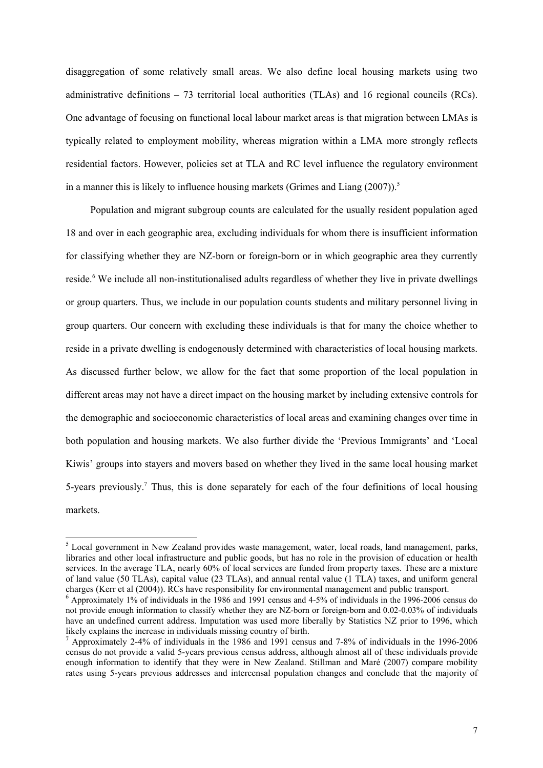disaggregation of some relatively small areas. We also define local housing markets using two administrative definitions – 73 territorial local authorities (TLAs) and 16 regional councils (RCs). One advantage of focusing on functional local labour market areas is that migration between LMAs is typically related to employment mobility, whereas migration within a LMA more strongly reflects residential factors. However, policies set at TLA and RC level influence the regulatory environment in a manner this is likely to influence housing markets (Grimes and Liang  $(2007)$ ).<sup>5</sup>

Population and migrant subgroup counts are calculated for the usually resident population aged 18 and over in each geographic area, excluding individuals for whom there is insufficient information for classifying whether they are NZ-born or foreign-born or in which geographic area they currently reside.<sup>6</sup> We include all non-institutionalised adults regardless of whether they live in private dwellings or group quarters. Thus, we include in our population counts students and military personnel living in group quarters. Our concern with excluding these individuals is that for many the choice whether to reside in a private dwelling is endogenously determined with characteristics of local housing markets. As discussed further below, we allow for the fact that some proportion of the local population in different areas may not have a direct impact on the housing market by including extensive controls for the demographic and socioeconomic characteristics of local areas and examining changes over time in both population and housing markets. We also further divide the 'Previous Immigrants' and 'Local Kiwis' groups into stayers and movers based on whether they lived in the same local housing market 5-years previously.<sup>7</sup> Thus, this is done separately for each of the four definitions of local housing markets.

l

<sup>&</sup>lt;sup>5</sup> Local government in New Zealand provides waste management, water, local roads, land management, parks, libraries and other local infrastructure and public goods, but has no role in the provision of education or health services. In the average TLA, nearly 60% of local services are funded from property taxes. These are a mixture of land value (50 TLAs), capital value (23 TLAs), and annual rental value (1 TLA) taxes, and uniform general

charges (Kerr et al (2004)). RCs have responsibility for environmental management and public transport.<br><sup>6</sup> Approximately 1% of individuals in the 1986 and 1991 census and 4-5% of individuals in the 1996-2006 census do not provide enough information to classify whether they are NZ-born or foreign-born and 0.02-0.03% of individuals have an undefined current address. Imputation was used more liberally by Statistics NZ prior to 1996, which likely explains the increase in individuals missing country of birth.

<sup>&</sup>lt;sup>7</sup> Approximately 2-4% of individuals in the 1986 and 1991 census and 7-8% of individuals in the 1996-2006 census do not provide a valid 5-years previous census address, although almost all of these individuals provide enough information to identify that they were in New Zealand. Stillman and Maré (2007) compare mobility rates using 5-years previous addresses and intercensal population changes and conclude that the majority of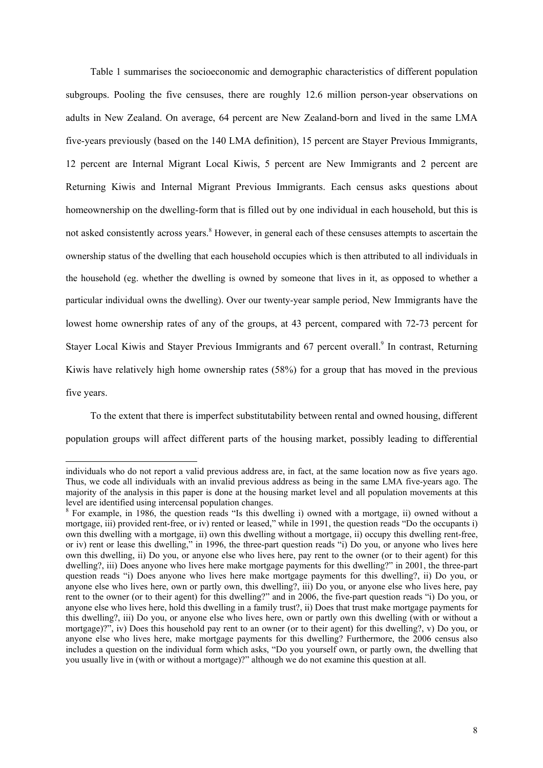Table 1 summarises the socioeconomic and demographic characteristics of different population subgroups. Pooling the five censuses, there are roughly 12.6 million person-year observations on adults in New Zealand. On average, 64 percent are New Zealand-born and lived in the same LMA five-years previously (based on the 140 LMA definition), 15 percent are Stayer Previous Immigrants, 12 percent are Internal Migrant Local Kiwis, 5 percent are New Immigrants and 2 percent are Returning Kiwis and Internal Migrant Previous Immigrants. Each census asks questions about homeownership on the dwelling-form that is filled out by one individual in each household, but this is not asked consistently across years.<sup>8</sup> However, in general each of these censuses attempts to ascertain the ownership status of the dwelling that each household occupies which is then attributed to all individuals in the household (eg. whether the dwelling is owned by someone that lives in it, as opposed to whether a particular individual owns the dwelling). Over our twenty-year sample period, New Immigrants have the lowest home ownership rates of any of the groups, at 43 percent, compared with 72-73 percent for Stayer Local Kiwis and Stayer Previous Immigrants and 67 percent overall.<sup>9</sup> In contrast, Returning Kiwis have relatively high home ownership rates (58%) for a group that has moved in the previous five years.

To the extent that there is imperfect substitutability between rental and owned housing, different population groups will affect different parts of the housing market, possibly leading to differential

 $\overline{a}$ 

individuals who do not report a valid previous address are, in fact, at the same location now as five years ago. Thus, we code all individuals with an invalid previous address as being in the same LMA five-years ago. The majority of the analysis in this paper is done at the housing market level and all population movements at this level are identified using intercensal population changes.

<sup>&</sup>lt;sup>8</sup> For example, in 1986, the question reads "Is this dwelling i) owned with a mortgage, ii) owned without a mortgage, iii) provided rent-free, or iv) rented or leased," while in 1991, the question reads "Do the occupants i) own this dwelling with a mortgage, ii) own this dwelling without a mortgage, ii) occupy this dwelling rent-free, or iv) rent or lease this dwelling," in 1996, the three-part question reads "i) Do you, or anyone who lives here own this dwelling, ii) Do you, or anyone else who lives here, pay rent to the owner (or to their agent) for this dwelling?, iii) Does anyone who lives here make mortgage payments for this dwelling?" in 2001, the three-part question reads "i) Does anyone who lives here make mortgage payments for this dwelling?, ii) Do you, or anyone else who lives here, own or partly own, this dwelling?, iii) Do you, or anyone else who lives here, pay rent to the owner (or to their agent) for this dwelling?" and in 2006, the five-part question reads "i) Do you, or anyone else who lives here, hold this dwelling in a family trust?, ii) Does that trust make mortgage payments for this dwelling?, iii) Do you, or anyone else who lives here, own or partly own this dwelling (with or without a mortgage)?", iv) Does this household pay rent to an owner (or to their agent) for this dwelling?, v) Do you, or anyone else who lives here, make mortgage payments for this dwelling? Furthermore, the 2006 census also includes a question on the individual form which asks, "Do you yourself own, or partly own, the dwelling that you usually live in (with or without a mortgage)?" although we do not examine this question at all.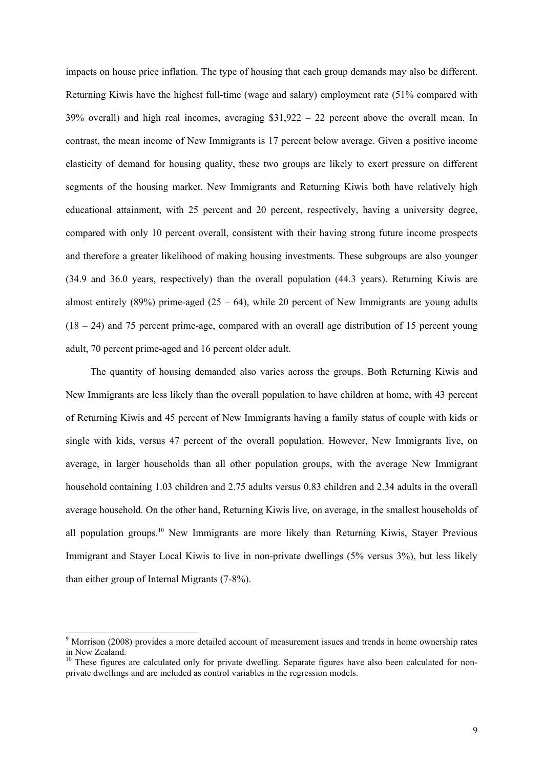impacts on house price inflation. The type of housing that each group demands may also be different. Returning Kiwis have the highest full-time (wage and salary) employment rate (51% compared with 39% overall) and high real incomes, averaging \$31,922 – 22 percent above the overall mean. In contrast, the mean income of New Immigrants is 17 percent below average. Given a positive income elasticity of demand for housing quality, these two groups are likely to exert pressure on different segments of the housing market. New Immigrants and Returning Kiwis both have relatively high educational attainment, with 25 percent and 20 percent, respectively, having a university degree, compared with only 10 percent overall, consistent with their having strong future income prospects and therefore a greater likelihood of making housing investments. These subgroups are also younger (34.9 and 36.0 years, respectively) than the overall population (44.3 years). Returning Kiwis are almost entirely (89%) prime-aged (25 – 64), while 20 percent of New Immigrants are young adults (18 – 24) and 75 percent prime-age, compared with an overall age distribution of 15 percent young adult, 70 percent prime-aged and 16 percent older adult.

The quantity of housing demanded also varies across the groups. Both Returning Kiwis and New Immigrants are less likely than the overall population to have children at home, with 43 percent of Returning Kiwis and 45 percent of New Immigrants having a family status of couple with kids or single with kids, versus 47 percent of the overall population. However, New Immigrants live, on average, in larger households than all other population groups, with the average New Immigrant household containing 1.03 children and 2.75 adults versus 0.83 children and 2.34 adults in the overall average household. On the other hand, Returning Kiwis live, on average, in the smallest households of all population groups.<sup>10</sup> New Immigrants are more likely than Returning Kiwis, Stayer Previous Immigrant and Stayer Local Kiwis to live in non-private dwellings (5% versus 3%), but less likely than either group of Internal Migrants (7-8%).

l

<sup>&</sup>lt;sup>9</sup> Morrison (2008) provides a more detailed account of measurement issues and trends in home ownership rates in New Zealand.

<sup>&</sup>lt;sup>10</sup> These figures are calculated only for private dwelling. Separate figures have also been calculated for nonprivate dwellings and are included as control variables in the regression models.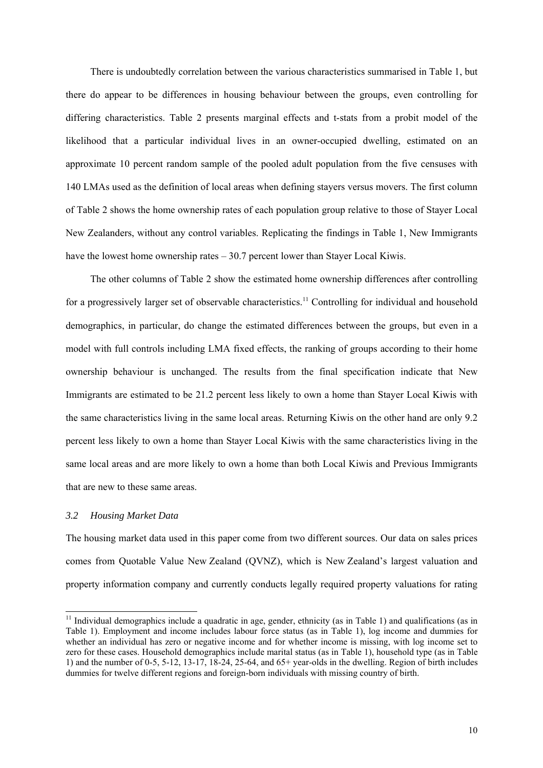There is undoubtedly correlation between the various characteristics summarised in Table 1, but there do appear to be differences in housing behaviour between the groups, even controlling for differing characteristics. Table 2 presents marginal effects and t-stats from a probit model of the likelihood that a particular individual lives in an owner-occupied dwelling, estimated on an approximate 10 percent random sample of the pooled adult population from the five censuses with 140 LMAs used as the definition of local areas when defining stayers versus movers. The first column of Table 2 shows the home ownership rates of each population group relative to those of Stayer Local New Zealanders, without any control variables. Replicating the findings in Table 1, New Immigrants have the lowest home ownership rates  $-30.7$  percent lower than Stayer Local Kiwis.

The other columns of Table 2 show the estimated home ownership differences after controlling for a progressively larger set of observable characteristics.<sup>11</sup> Controlling for individual and household demographics, in particular, do change the estimated differences between the groups, but even in a model with full controls including LMA fixed effects, the ranking of groups according to their home ownership behaviour is unchanged. The results from the final specification indicate that New Immigrants are estimated to be 21.2 percent less likely to own a home than Stayer Local Kiwis with the same characteristics living in the same local areas. Returning Kiwis on the other hand are only 9.2 percent less likely to own a home than Stayer Local Kiwis with the same characteristics living in the same local areas and are more likely to own a home than both Local Kiwis and Previous Immigrants that are new to these same areas.

### *3.2 Housing Market Data*

l

The housing market data used in this paper come from two different sources. Our data on sales prices comes from Quotable Value New Zealand (QVNZ), which is New Zealand's largest valuation and property information company and currently conducts legally required property valuations for rating

 $11$  Individual demographics include a quadratic in age, gender, ethnicity (as in Table 1) and qualifications (as in Table 1). Employment and income includes labour force status (as in Table 1), log income and dummies for whether an individual has zero or negative income and for whether income is missing, with log income set to zero for these cases. Household demographics include marital status (as in Table 1), household type (as in Table 1) and the number of 0-5, 5-12, 13-17, 18-24, 25-64, and  $65+$  year-olds in the dwelling. Region of birth includes dummies for twelve different regions and foreign-born individuals with missing country of birth.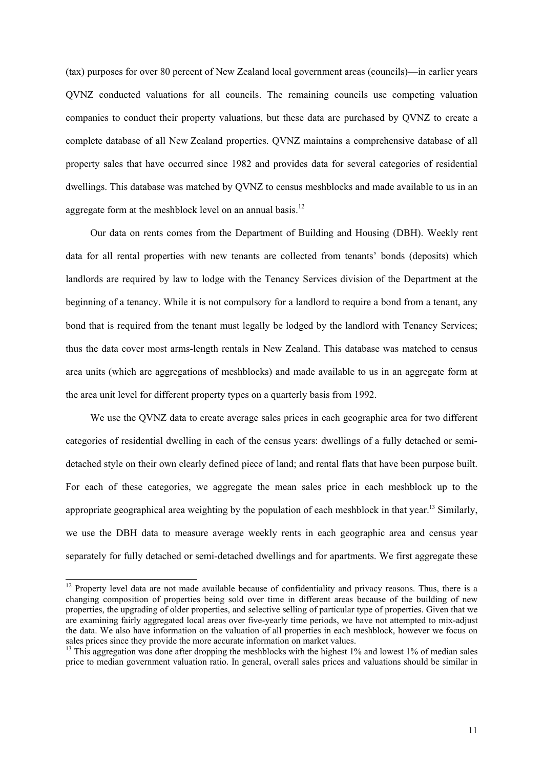(tax) purposes for over 80 percent of New Zealand local government areas (councils)—in earlier years QVNZ conducted valuations for all councils. The remaining councils use competing valuation companies to conduct their property valuations, but these data are purchased by QVNZ to create a complete database of all New Zealand properties. QVNZ maintains a comprehensive database of all property sales that have occurred since 1982 and provides data for several categories of residential dwellings. This database was matched by QVNZ to census meshblocks and made available to us in an aggregate form at the meshblock level on an annual basis.<sup>12</sup>

Our data on rents comes from the Department of Building and Housing (DBH). Weekly rent data for all rental properties with new tenants are collected from tenants' bonds (deposits) which landlords are required by law to lodge with the Tenancy Services division of the Department at the beginning of a tenancy. While it is not compulsory for a landlord to require a bond from a tenant, any bond that is required from the tenant must legally be lodged by the landlord with Tenancy Services; thus the data cover most arms-length rentals in New Zealand. This database was matched to census area units (which are aggregations of meshblocks) and made available to us in an aggregate form at the area unit level for different property types on a quarterly basis from 1992.

We use the QVNZ data to create average sales prices in each geographic area for two different categories of residential dwelling in each of the census years: dwellings of a fully detached or semidetached style on their own clearly defined piece of land; and rental flats that have been purpose built. For each of these categories, we aggregate the mean sales price in each meshblock up to the appropriate geographical area weighting by the population of each meshblock in that year.<sup>13</sup> Similarly, we use the DBH data to measure average weekly rents in each geographic area and census year separately for fully detached or semi-detached dwellings and for apartments. We first aggregate these

l

 $12$  Property level data are not made available because of confidentiality and privacy reasons. Thus, there is a changing composition of properties being sold over time in different areas because of the building of new properties, the upgrading of older properties, and selective selling of particular type of properties. Given that we are examining fairly aggregated local areas over five-yearly time periods, we have not attempted to mix-adjust the data. We also have information on the valuation of all properties in each meshblock, however we focus on sales prices since they provide the more accurate information on market values.<br><sup>13</sup> This aggregation was done after dropping the meshblocks with the highest 1% and lowest 1% of median sales

price to median government valuation ratio. In general, overall sales prices and valuations should be similar in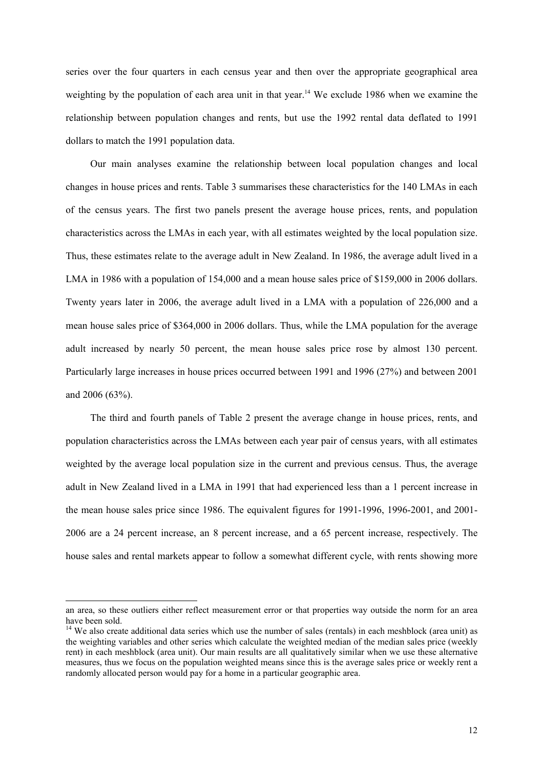series over the four quarters in each census year and then over the appropriate geographical area weighting by the population of each area unit in that year.<sup>14</sup> We exclude 1986 when we examine the relationship between population changes and rents, but use the 1992 rental data deflated to 1991 dollars to match the 1991 population data.

Our main analyses examine the relationship between local population changes and local changes in house prices and rents. Table 3 summarises these characteristics for the 140 LMAs in each of the census years. The first two panels present the average house prices, rents, and population characteristics across the LMAs in each year, with all estimates weighted by the local population size. Thus, these estimates relate to the average adult in New Zealand. In 1986, the average adult lived in a LMA in 1986 with a population of 154,000 and a mean house sales price of \$159,000 in 2006 dollars. Twenty years later in 2006, the average adult lived in a LMA with a population of 226,000 and a mean house sales price of \$364,000 in 2006 dollars. Thus, while the LMA population for the average adult increased by nearly 50 percent, the mean house sales price rose by almost 130 percent. Particularly large increases in house prices occurred between 1991 and 1996 (27%) and between 2001 and 2006 (63%).

The third and fourth panels of Table 2 present the average change in house prices, rents, and population characteristics across the LMAs between each year pair of census years, with all estimates weighted by the average local population size in the current and previous census. Thus, the average adult in New Zealand lived in a LMA in 1991 that had experienced less than a 1 percent increase in the mean house sales price since 1986. The equivalent figures for 1991-1996, 1996-2001, and 2001- 2006 are a 24 percent increase, an 8 percent increase, and a 65 percent increase, respectively. The house sales and rental markets appear to follow a somewhat different cycle, with rents showing more

l

an area, so these outliers either reflect measurement error or that properties way outside the norm for an area have been sold.

<sup>&</sup>lt;sup>14</sup> We also create additional data series which use the number of sales (rentals) in each meshblock (area unit) as the weighting variables and other series which calculate the weighted median of the median sales price (weekly rent) in each meshblock (area unit). Our main results are all qualitatively similar when we use these alternative measures, thus we focus on the population weighted means since this is the average sales price or weekly rent a randomly allocated person would pay for a home in a particular geographic area.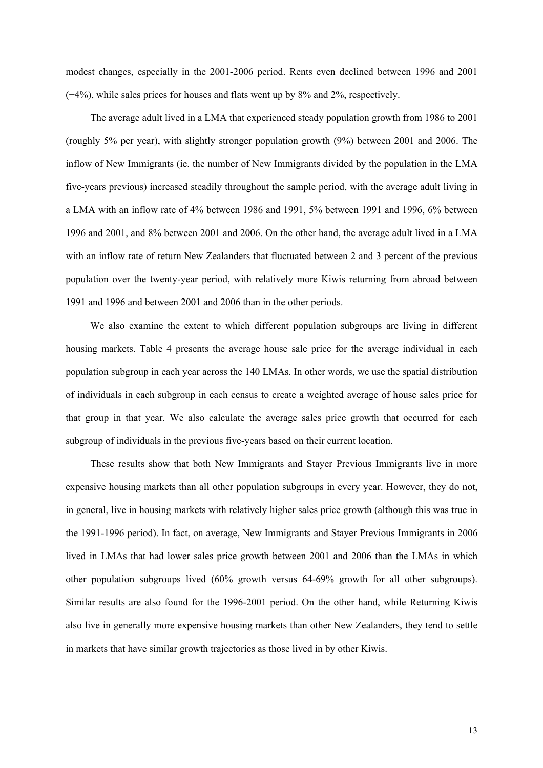modest changes, especially in the 2001-2006 period. Rents even declined between 1996 and 2001 (−4%), while sales prices for houses and flats went up by 8% and 2%, respectively.

The average adult lived in a LMA that experienced steady population growth from 1986 to 2001 (roughly 5% per year), with slightly stronger population growth (9%) between 2001 and 2006. The inflow of New Immigrants (ie. the number of New Immigrants divided by the population in the LMA five-years previous) increased steadily throughout the sample period, with the average adult living in a LMA with an inflow rate of 4% between 1986 and 1991, 5% between 1991 and 1996, 6% between 1996 and 2001, and 8% between 2001 and 2006. On the other hand, the average adult lived in a LMA with an inflow rate of return New Zealanders that fluctuated between 2 and 3 percent of the previous population over the twenty-year period, with relatively more Kiwis returning from abroad between 1991 and 1996 and between 2001 and 2006 than in the other periods.

We also examine the extent to which different population subgroups are living in different housing markets. Table 4 presents the average house sale price for the average individual in each population subgroup in each year across the 140 LMAs. In other words, we use the spatial distribution of individuals in each subgroup in each census to create a weighted average of house sales price for that group in that year. We also calculate the average sales price growth that occurred for each subgroup of individuals in the previous five-years based on their current location.

These results show that both New Immigrants and Stayer Previous Immigrants live in more expensive housing markets than all other population subgroups in every year. However, they do not, in general, live in housing markets with relatively higher sales price growth (although this was true in the 1991-1996 period). In fact, on average, New Immigrants and Stayer Previous Immigrants in 2006 lived in LMAs that had lower sales price growth between 2001 and 2006 than the LMAs in which other population subgroups lived (60% growth versus 64-69% growth for all other subgroups). Similar results are also found for the 1996-2001 period. On the other hand, while Returning Kiwis also live in generally more expensive housing markets than other New Zealanders, they tend to settle in markets that have similar growth trajectories as those lived in by other Kiwis.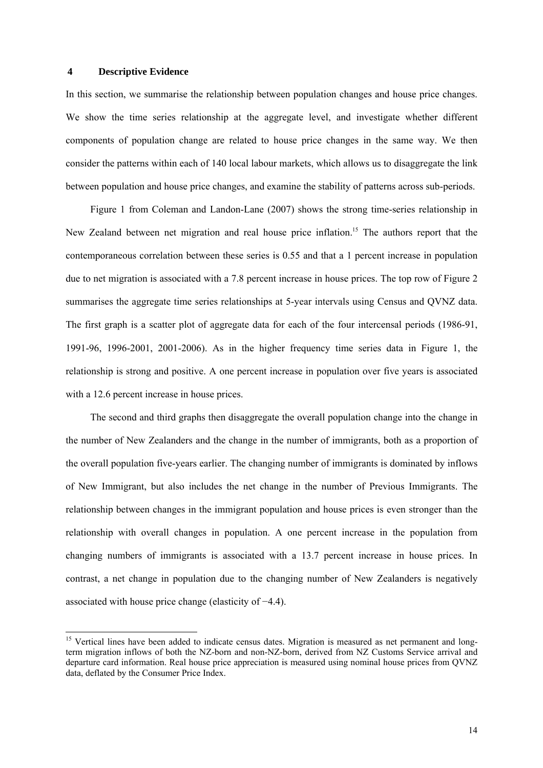#### **4 Descriptive Evidence**

l

In this section, we summarise the relationship between population changes and house price changes. We show the time series relationship at the aggregate level, and investigate whether different components of population change are related to house price changes in the same way. We then consider the patterns within each of 140 local labour markets, which allows us to disaggregate the link between population and house price changes, and examine the stability of patterns across sub-periods.

Figure 1 from Coleman and Landon-Lane (2007) shows the strong time-series relationship in New Zealand between net migration and real house price inflation.<sup>15</sup> The authors report that the contemporaneous correlation between these series is 0.55 and that a 1 percent increase in population due to net migration is associated with a 7.8 percent increase in house prices. The top row of Figure 2 summarises the aggregate time series relationships at 5-year intervals using Census and QVNZ data. The first graph is a scatter plot of aggregate data for each of the four intercensal periods (1986-91, 1991-96, 1996-2001, 2001-2006). As in the higher frequency time series data in Figure 1, the relationship is strong and positive. A one percent increase in population over five years is associated with a 12.6 percent increase in house prices.

The second and third graphs then disaggregate the overall population change into the change in the number of New Zealanders and the change in the number of immigrants, both as a proportion of the overall population five-years earlier. The changing number of immigrants is dominated by inflows of New Immigrant, but also includes the net change in the number of Previous Immigrants. The relationship between changes in the immigrant population and house prices is even stronger than the relationship with overall changes in population. A one percent increase in the population from changing numbers of immigrants is associated with a 13.7 percent increase in house prices. In contrast, a net change in population due to the changing number of New Zealanders is negatively associated with house price change (elasticity of −4.4).

<sup>&</sup>lt;sup>15</sup> Vertical lines have been added to indicate census dates. Migration is measured as net permanent and longterm migration inflows of both the NZ-born and non-NZ-born, derived from NZ Customs Service arrival and departure card information. Real house price appreciation is measured using nominal house prices from QVNZ data, deflated by the Consumer Price Index.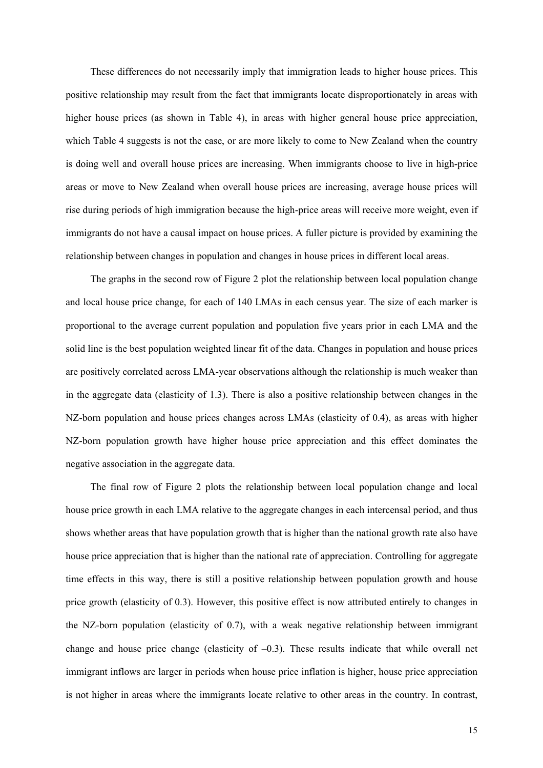These differences do not necessarily imply that immigration leads to higher house prices. This positive relationship may result from the fact that immigrants locate disproportionately in areas with higher house prices (as shown in Table 4), in areas with higher general house price appreciation, which Table 4 suggests is not the case, or are more likely to come to New Zealand when the country is doing well and overall house prices are increasing. When immigrants choose to live in high-price areas or move to New Zealand when overall house prices are increasing, average house prices will rise during periods of high immigration because the high-price areas will receive more weight, even if immigrants do not have a causal impact on house prices. A fuller picture is provided by examining the relationship between changes in population and changes in house prices in different local areas.

The graphs in the second row of Figure 2 plot the relationship between local population change and local house price change, for each of 140 LMAs in each census year. The size of each marker is proportional to the average current population and population five years prior in each LMA and the solid line is the best population weighted linear fit of the data. Changes in population and house prices are positively correlated across LMA-year observations although the relationship is much weaker than in the aggregate data (elasticity of 1.3). There is also a positive relationship between changes in the NZ-born population and house prices changes across LMAs (elasticity of 0.4), as areas with higher NZ-born population growth have higher house price appreciation and this effect dominates the negative association in the aggregate data.

The final row of Figure 2 plots the relationship between local population change and local house price growth in each LMA relative to the aggregate changes in each intercensal period, and thus shows whether areas that have population growth that is higher than the national growth rate also have house price appreciation that is higher than the national rate of appreciation. Controlling for aggregate time effects in this way, there is still a positive relationship between population growth and house price growth (elasticity of 0.3). However, this positive effect is now attributed entirely to changes in the NZ-born population (elasticity of 0.7), with a weak negative relationship between immigrant change and house price change (elasticity of  $-0.3$ ). These results indicate that while overall net immigrant inflows are larger in periods when house price inflation is higher, house price appreciation is not higher in areas where the immigrants locate relative to other areas in the country. In contrast,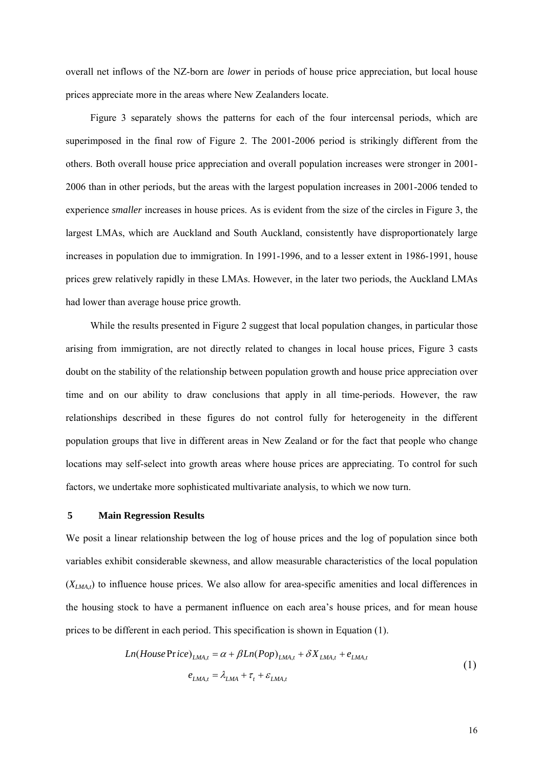overall net inflows of the NZ-born are *lower* in periods of house price appreciation, but local house prices appreciate more in the areas where New Zealanders locate.

Figure 3 separately shows the patterns for each of the four intercensal periods, which are superimposed in the final row of Figure 2. The 2001-2006 period is strikingly different from the others. Both overall house price appreciation and overall population increases were stronger in 2001- 2006 than in other periods, but the areas with the largest population increases in 2001-2006 tended to experience *smaller* increases in house prices. As is evident from the size of the circles in Figure 3, the largest LMAs, which are Auckland and South Auckland, consistently have disproportionately large increases in population due to immigration. In 1991-1996, and to a lesser extent in 1986-1991, house prices grew relatively rapidly in these LMAs. However, in the later two periods, the Auckland LMAs had lower than average house price growth.

While the results presented in Figure 2 suggest that local population changes, in particular those arising from immigration, are not directly related to changes in local house prices, Figure 3 casts doubt on the stability of the relationship between population growth and house price appreciation over time and on our ability to draw conclusions that apply in all time-periods. However, the raw relationships described in these figures do not control fully for heterogeneity in the different population groups that live in different areas in New Zealand or for the fact that people who change locations may self-select into growth areas where house prices are appreciating. To control for such factors, we undertake more sophisticated multivariate analysis, to which we now turn.

### **5 Main Regression Results**

We posit a linear relationship between the log of house prices and the log of population since both variables exhibit considerable skewness, and allow measurable characteristics of the local population  $(X_{IMA,t})$  to influence house prices. We also allow for area-specific amenities and local differences in the housing stock to have a permanent influence on each area's house prices, and for mean house prices to be different in each period. This specification is shown in Equation (1).

$$
Ln(House Price)_{LMA,t} = \alpha + \beta Ln(Pop)_{LMA,t} + \delta X_{LMA,t} + e_{LMA,t}
$$
  
\n
$$
e_{LMA,t} = \lambda_{LMA} + \tau_t + \varepsilon_{LMA,t}
$$
\n(1)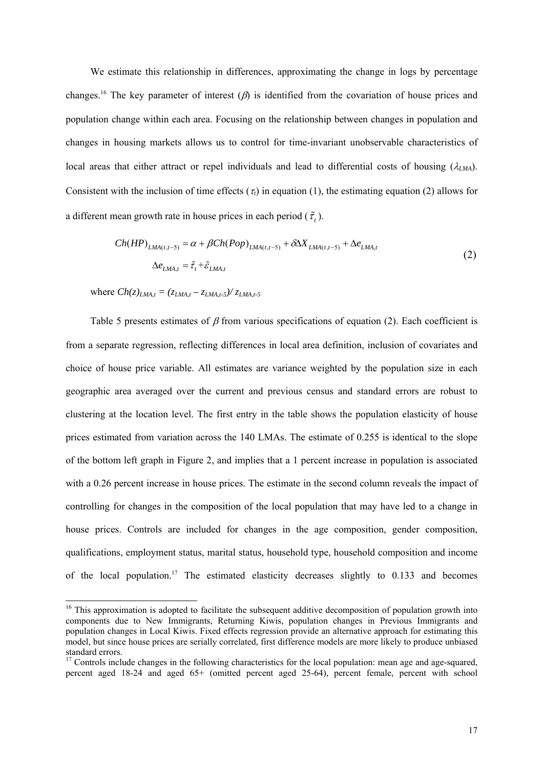We estimate this relationship in differences, approximating the change in logs by percentage changes.<sup>16</sup> The key parameter of interest ( $\beta$ ) is identified from the covariation of house prices and population change within each area. Focusing on the relationship between changes in population and changes in housing markets allows us to control for time-invariant unobservable characteristics of local areas that either attract or repel individuals and lead to differential costs of housing  $(\lambda_{LM})$ . Consistent with the inclusion of time effects  $(\tau_t)$  in equation (1), the estimating equation (2) allows for a different mean growth rate in house prices in each period  $(\tilde{\tau}_t)$ .

$$
Ch(HP)_{LMA(t,t-5)} = \alpha + \beta Ch(Pop)_{LMA(t,t-5)} + \delta \Delta X_{LMA(t,t-5)} + \Delta e_{LMA,t}
$$
  

$$
\Delta e_{LMA,t} = \tilde{\tau}_t + \tilde{\varepsilon}_{LMA,t}
$$
 (2)

where  $Ch(z)_{LMA,t} = (z_{LMA,t} - z_{LMA,t-5})/z_{LMA,t-5}$ 

l

Table 5 presents estimates of  $\beta$  from various specifications of equation (2). Each coefficient is from a separate regression, reflecting differences in local area definition, inclusion of covariates and choice of house price variable. All estimates are variance weighted by the population size in each geographic area averaged over the current and previous census and standard errors are robust to clustering at the location level. The first entry in the table shows the population elasticity of house prices estimated from variation across the 140 LMAs. The estimate of 0.255 is identical to the slope of the bottom left graph in Figure 2, and implies that a 1 percent increase in population is associated with a 0.26 percent increase in house prices. The estimate in the second column reveals the impact of controlling for changes in the composition of the local population that may have led to a change in house prices. Controls are included for changes in the age composition, gender composition, qualifications, employment status, marital status, household type, household composition and income of the local population.<sup>17</sup> The estimated elasticity decreases slightly to  $0.133$  and becomes

<sup>&</sup>lt;sup>16</sup> This approximation is adopted to facilitate the subsequent additive decomposition of population growth into components due to New Immigrants, Returning Kiwis, population changes in Previous Immigrants and population changes in Local Kiwis. Fixed effects regression provide an alternative approach for estimating this model, but since house prices are serially correlated, first difference models are more likely to produce unbiased standard errors.

<sup>&</sup>lt;sup>17</sup> Controls include changes in the following characteristics for the local population: mean age and age-squared, percent aged 18-24 and aged 65+ (omitted percent aged 25-64), percent female, percent with school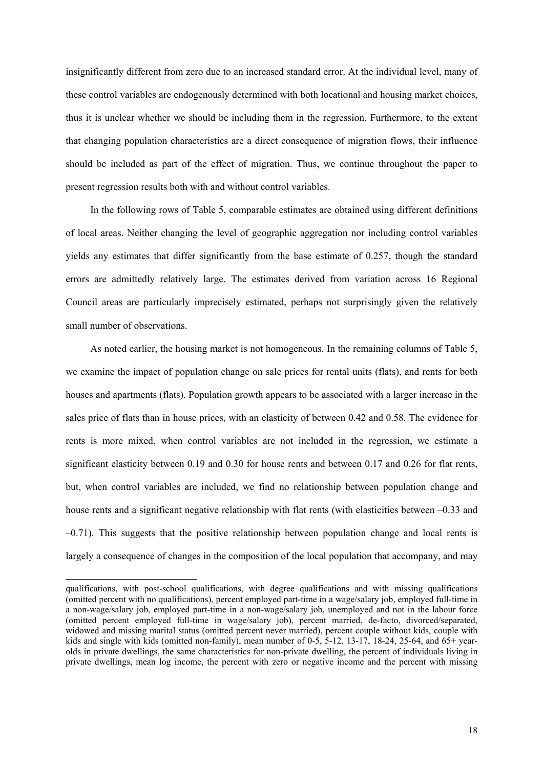insignificantly different from zero due to an increased standard error. At the individual level, many of these control variables are endogenously determined with both locational and housing market choices, thus it is unclear whether we should be including them in the regression. Furthermore, to the extent that changing population characteristics are a direct consequence of migration flows, their influence should be included as part of the effect of migration. Thus, we continue throughout the paper to present regression results both with and without control variables.

In the following rows of Table 5, comparable estimates are obtained using different definitions of local areas. Neither changing the level of geographic aggregation nor including control variables yields any estimates that differ significantly from the base estimate of 0.257, though the standard errors are admittedly relatively large. The estimates derived from variation across 16 Regional Council areas are particularly imprecisely estimated, perhaps not surprisingly given the relatively small number of observations.

As noted earlier, the housing market is not homogeneous. In the remaining columns of Table 5, we examine the impact of population change on sale prices for rental units (flats), and rents for both houses and apartments (flats). Population growth appears to be associated with a larger increase in the sales price of flats than in house prices, with an elasticity of between 0.42 and 0.58. The evidence for rents is more mixed, when control variables are not included in the regression, we estimate a significant elasticity between 0.19 and 0.30 for house rents and between 0.17 and 0.26 for flat rents, but, when control variables are included, we find no relationship between population change and house rents and a significant negative relationship with flat rents (with elasticities between –0.33 and –0.71). This suggests that the positive relationship between population change and local rents is largely a consequence of changes in the composition of the local population that accompany, and may

l

qualifications, with post-school qualifications, with degree qualifications and with missing qualifications (omitted percent with no qualifications), percent employed part-time in a wage/salary job, employed full-time in a non-wage/salary job, employed part-time in a non-wage/salary job, unemployed and not in the labour force (omitted percent employed full-time in wage/salary job), percent married, de-facto, divorced/separated, widowed and missing marital status (omitted percent never married), percent couple without kids, couple with kids and single with kids (omitted non-family), mean number of 0-5, 5-12, 13-17, 18-24, 25-64, and  $65+$  yearolds in private dwellings, the same characteristics for non-private dwelling, the percent of individuals living in private dwellings, mean log income, the percent with zero or negative income and the percent with missing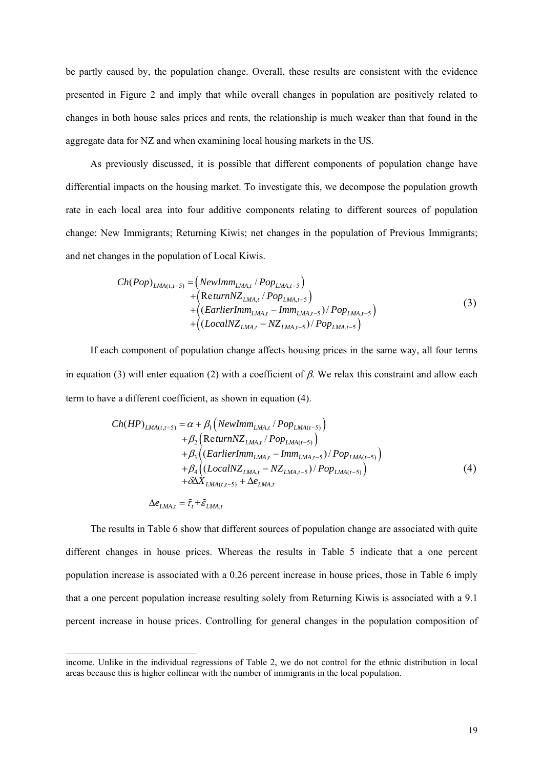be partly caused by, the population change. Overall, these results are consistent with the evidence presented in Figure 2 and imply that while overall changes in population are positively related to changes in both house sales prices and rents, the relationship is much weaker than that found in the aggregate data for NZ and when examining local housing markets in the US.

As previously discussed, it is possible that different components of population change have differential impacts on the housing market. To investigate this, we decompose the population growth rate in each local area into four additive components relating to different sources of population change: New Immigrants; Returning Kiwis; net changes in the population of Previous Immigrants; and net changes in the population of Local Kiwis.

$$
Ch(Pop)_{LMA(t,t-5)} = (NewImm_{LMA,t} / Pop_{LMA,t-5}) + (ReturnNZ_{LMA,t} / Pop_{LMA,t-5}) + ((EarlierImm_{LMA,t} - Imm_{LMA,t-5}) / Pop_{LMA,t-5}) + ((LocalNZ_{LMA,t} - NZ_{LMA,t-5}) / Pop_{LMA,t-5})
$$
\n(3)

If each component of population change affects housing prices in the same way, all four terms in equation (3) will enter equation (2) with a coefficient of  $β$ . We relax this constraint and allow each term to have a different coefficient, as shown in equation (4).

$$
Ch(HP)_{LMA(t,t-5)} = \alpha + \beta_1 \left( NewImm_{LMA,t} / Pop_{LMA(t-5)} \right)
$$
  
+  $\beta_2 \left( ReturnNZ_{LMA,t} / Pop_{LMA(t-5)} \right)$   
+  $\beta_3 \left( (EarlierImm_{LMA,t} - Imm_{LMA,t-5}) / Pop_{LMA(t-5)} \right)$   
+  $\beta_4 \left( (LocalNZ_{LMA,t} - NZ_{LMA,t-5}) / Pop_{LMA(t-5)} \right)$   
+  $\delta \Delta X_{LMA(t,t-5)} + \Delta e_{LMA,t}$   

$$
\Delta e_{LMA,t} = \tilde{\tau}_t + \tilde{\epsilon}_{LMA,t}
$$
 (4)

The results in Table 6 show that different sources of population change are associated with quite different changes in house prices. Whereas the results in Table 5 indicate that a one percent population increase is associated with a 0.26 percent increase in house prices, those in Table 6 imply that a one percent population increase resulting solely from Returning Kiwis is associated with a 9.1 percent increase in house prices. Controlling for general changes in the population composition of

 $\overline{a}$ 

income. Unlike in the individual regressions of Table 2, we do not control for the ethnic distribution in local areas because this is higher collinear with the number of immigrants in the local population.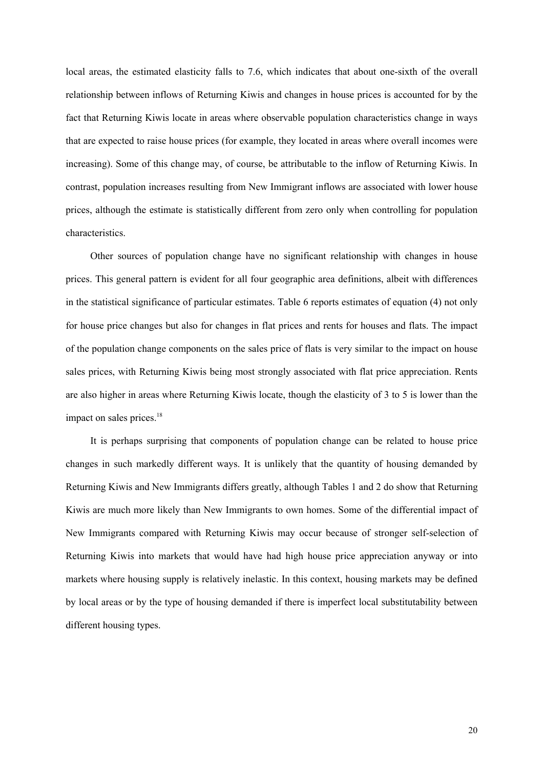local areas, the estimated elasticity falls to 7.6, which indicates that about one-sixth of the overall relationship between inflows of Returning Kiwis and changes in house prices is accounted for by the fact that Returning Kiwis locate in areas where observable population characteristics change in ways that are expected to raise house prices (for example, they located in areas where overall incomes were increasing). Some of this change may, of course, be attributable to the inflow of Returning Kiwis. In contrast, population increases resulting from New Immigrant inflows are associated with lower house prices, although the estimate is statistically different from zero only when controlling for population characteristics.

Other sources of population change have no significant relationship with changes in house prices. This general pattern is evident for all four geographic area definitions, albeit with differences in the statistical significance of particular estimates. Table 6 reports estimates of equation (4) not only for house price changes but also for changes in flat prices and rents for houses and flats. The impact of the population change components on the sales price of flats is very similar to the impact on house sales prices, with Returning Kiwis being most strongly associated with flat price appreciation. Rents are also higher in areas where Returning Kiwis locate, though the elasticity of 3 to 5 is lower than the impact on sales prices.<sup>18</sup>

It is perhaps surprising that components of population change can be related to house price changes in such markedly different ways. It is unlikely that the quantity of housing demanded by Returning Kiwis and New Immigrants differs greatly, although Tables 1 and 2 do show that Returning Kiwis are much more likely than New Immigrants to own homes. Some of the differential impact of New Immigrants compared with Returning Kiwis may occur because of stronger self-selection of Returning Kiwis into markets that would have had high house price appreciation anyway or into markets where housing supply is relatively inelastic. In this context, housing markets may be defined by local areas or by the type of housing demanded if there is imperfect local substitutability between different housing types.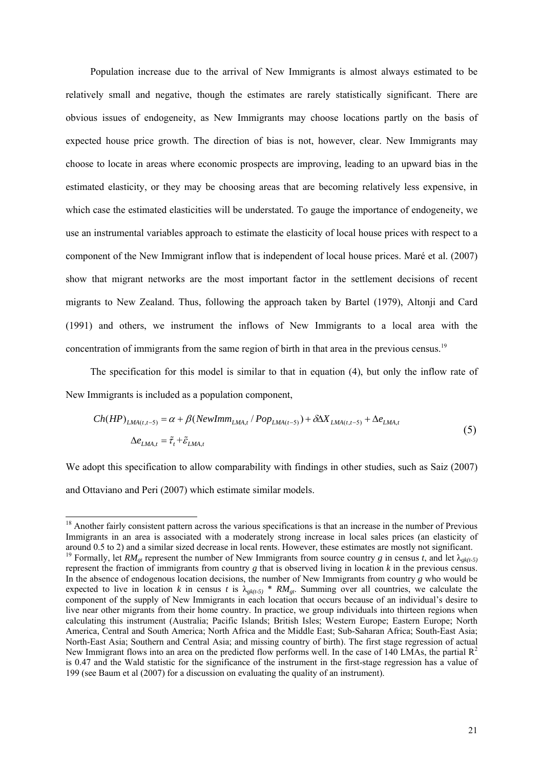Population increase due to the arrival of New Immigrants is almost always estimated to be relatively small and negative, though the estimates are rarely statistically significant. There are obvious issues of endogeneity, as New Immigrants may choose locations partly on the basis of expected house price growth. The direction of bias is not, however, clear. New Immigrants may choose to locate in areas where economic prospects are improving, leading to an upward bias in the estimated elasticity, or they may be choosing areas that are becoming relatively less expensive, in which case the estimated elasticities will be understated. To gauge the importance of endogeneity, we use an instrumental variables approach to estimate the elasticity of local house prices with respect to a component of the New Immigrant inflow that is independent of local house prices. Maré et al. (2007) show that migrant networks are the most important factor in the settlement decisions of recent migrants to New Zealand. Thus, following the approach taken by Bartel (1979), Altonji and Card (1991) and others, we instrument the inflows of New Immigrants to a local area with the concentration of immigrants from the same region of birth in that area in the previous census.19

The specification for this model is similar to that in equation (4), but only the inflow rate of New Immigrants is included as a population component,

$$
Ch(HP)_{LMA(t,t-5)} = \alpha + \beta(NewImm_{LMA,t} / Pop_{LMA(t-5)}) + \delta \Delta X_{LMA(t,t-5)} + \Delta e_{LMA,t}
$$
  

$$
\Delta e_{LMA,t} = \tilde{\tau}_t + \tilde{\varepsilon}_{LMA,t}
$$
\n(5)

We adopt this specification to allow comparability with findings in other studies, such as Saiz (2007) and Ottaviano and Peri (2007) which estimate similar models.

l

<sup>&</sup>lt;sup>18</sup> Another fairly consistent pattern across the various specifications is that an increase in the number of Previous Immigrants in an area is associated with a moderately strong increase in local sales prices (an elasticity of around 0.5 to 2) and a similar sized decrease in local rents. However, these estimates are mostly not significant.<br><sup>19</sup> Formally, let  $RM_{at}$  represent the number of New Immigrants from source country g in census t, and le represent the fraction of immigrants from country *g* that is observed living in location *k* in the previous census. In the absence of endogenous location decisions, the number of New Immigrants from country *g* who would be expected to live in location *k* in census *t* is  $\lambda_{gkt}(t-5)$  \*  $RM_{gt}$ . Summing over all countries, we calculate the component of the supply of New Immigrants in each location that occurs because of an individual's desire to live near other migrants from their home country. In practice, we group individuals into thirteen regions when calculating this instrument (Australia; Pacific Islands; British Isles; Western Europe; Eastern Europe; North America, Central and South America; North Africa and the Middle East; Sub-Saharan Africa; South-East Asia; North-East Asia; Southern and Central Asia; and missing country of birth). The first stage regression of actual New Immigrant flows into an area on the predicted flow performs well. In the case of 140 LMAs, the partial  $R<sup>2</sup>$ is 0.47 and the Wald statistic for the significance of the instrument in the first-stage regression has a value of 199 (see Baum et al (2007) for a discussion on evaluating the quality of an instrument).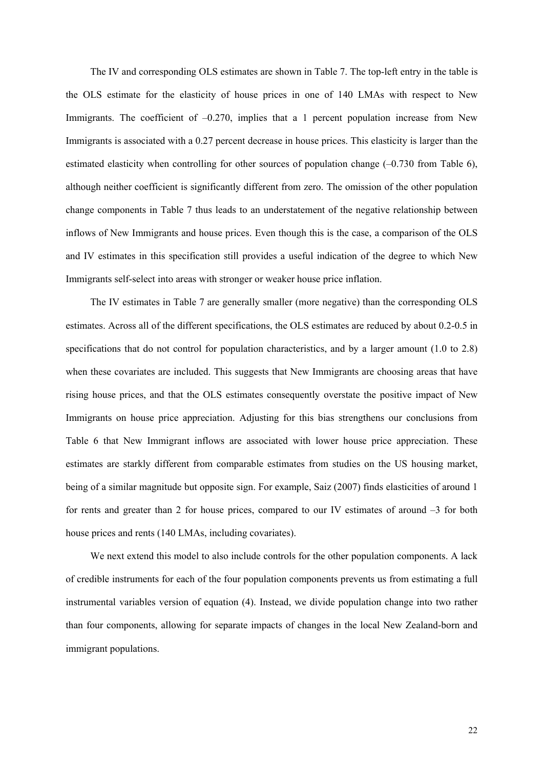The IV and corresponding OLS estimates are shown in Table 7. The top-left entry in the table is the OLS estimate for the elasticity of house prices in one of 140 LMAs with respect to New Immigrants. The coefficient of  $-0.270$ , implies that a 1 percent population increase from New Immigrants is associated with a 0.27 percent decrease in house prices. This elasticity is larger than the estimated elasticity when controlling for other sources of population change (-0.730 from Table 6), although neither coefficient is significantly different from zero. The omission of the other population change components in Table 7 thus leads to an understatement of the negative relationship between inflows of New Immigrants and house prices. Even though this is the case, a comparison of the OLS and IV estimates in this specification still provides a useful indication of the degree to which New Immigrants self-select into areas with stronger or weaker house price inflation.

The IV estimates in Table 7 are generally smaller (more negative) than the corresponding OLS estimates. Across all of the different specifications, the OLS estimates are reduced by about 0.2-0.5 in specifications that do not control for population characteristics, and by a larger amount (1.0 to 2.8) when these covariates are included. This suggests that New Immigrants are choosing areas that have rising house prices, and that the OLS estimates consequently overstate the positive impact of New Immigrants on house price appreciation. Adjusting for this bias strengthens our conclusions from Table 6 that New Immigrant inflows are associated with lower house price appreciation. These estimates are starkly different from comparable estimates from studies on the US housing market, being of a similar magnitude but opposite sign. For example, Saiz (2007) finds elasticities of around 1 for rents and greater than 2 for house prices, compared to our IV estimates of around –3 for both house prices and rents (140 LMAs, including covariates).

We next extend this model to also include controls for the other population components. A lack of credible instruments for each of the four population components prevents us from estimating a full instrumental variables version of equation (4). Instead, we divide population change into two rather than four components, allowing for separate impacts of changes in the local New Zealand-born and immigrant populations.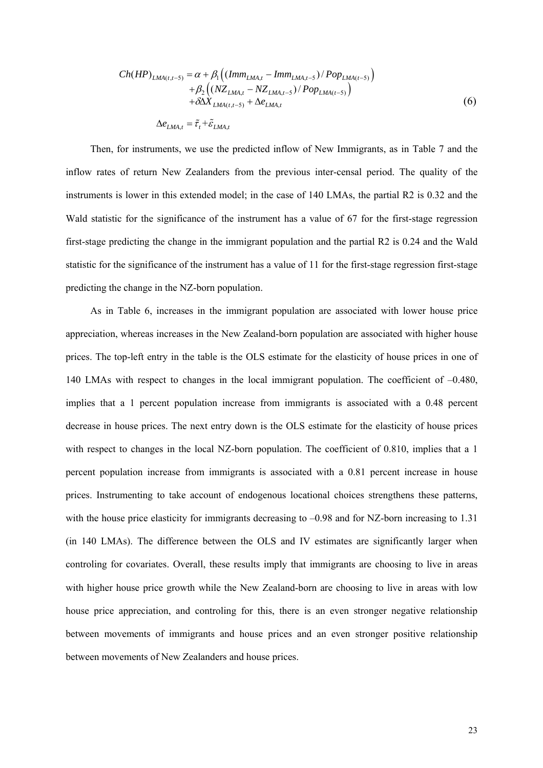$$
Ch(HP)_{LMA(t,t-5)} = \alpha + \beta_1 \Big( (Imm_{LMA,t} - Imm_{LMA,t-5}) / Pop_{LMA(t-5)} \Big) + \beta_2 \Big( (NZ_{LMA,t} - NZ_{LMA,t-5}) / Pop_{LMA(t-5)} \Big) + \delta \Delta X_{LMA(t,t-5)} + \Delta e_{LMA,t}
$$
(6)  

$$
\Delta e_{LMA,t} = \tilde{\tau}_t + \tilde{\epsilon}_{LMA,t}
$$

Then, for instruments, we use the predicted inflow of New Immigrants, as in Table 7 and the inflow rates of return New Zealanders from the previous inter-censal period. The quality of the instruments is lower in this extended model; in the case of 140 LMAs, the partial R2 is 0.32 and the Wald statistic for the significance of the instrument has a value of 67 for the first-stage regression first-stage predicting the change in the immigrant population and the partial R2 is 0.24 and the Wald statistic for the significance of the instrument has a value of 11 for the first-stage regression first-stage predicting the change in the NZ-born population.

As in Table 6, increases in the immigrant population are associated with lower house price appreciation, whereas increases in the New Zealand-born population are associated with higher house prices. The top-left entry in the table is the OLS estimate for the elasticity of house prices in one of 140 LMAs with respect to changes in the local immigrant population. The coefficient of –0.480, implies that a 1 percent population increase from immigrants is associated with a 0.48 percent decrease in house prices. The next entry down is the OLS estimate for the elasticity of house prices with respect to changes in the local NZ-born population. The coefficient of 0.810, implies that a 1 percent population increase from immigrants is associated with a 0.81 percent increase in house prices. Instrumenting to take account of endogenous locational choices strengthens these patterns, with the house price elasticity for immigrants decreasing to  $-0.98$  and for NZ-born increasing to 1.31 (in 140 LMAs). The difference between the OLS and IV estimates are significantly larger when controling for covariates. Overall, these results imply that immigrants are choosing to live in areas with higher house price growth while the New Zealand-born are choosing to live in areas with low house price appreciation, and controling for this, there is an even stronger negative relationship between movements of immigrants and house prices and an even stronger positive relationship between movements of New Zealanders and house prices.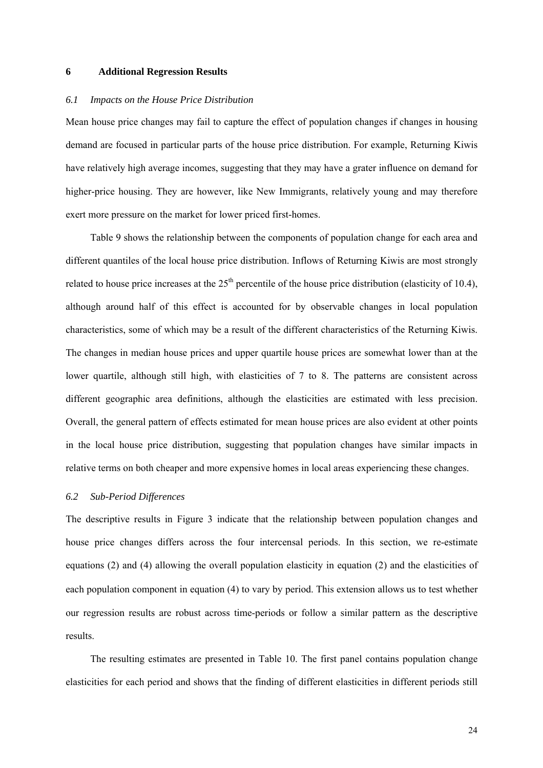#### **6 Additional Regression Results**

#### *6.1 Impacts on the House Price Distribution*

Mean house price changes may fail to capture the effect of population changes if changes in housing demand are focused in particular parts of the house price distribution. For example, Returning Kiwis have relatively high average incomes, suggesting that they may have a grater influence on demand for higher-price housing. They are however, like New Immigrants, relatively young and may therefore exert more pressure on the market for lower priced first-homes.

Table 9 shows the relationship between the components of population change for each area and different quantiles of the local house price distribution. Inflows of Returning Kiwis are most strongly related to house price increases at the  $25<sup>th</sup>$  percentile of the house price distribution (elasticity of 10.4), although around half of this effect is accounted for by observable changes in local population characteristics, some of which may be a result of the different characteristics of the Returning Kiwis. The changes in median house prices and upper quartile house prices are somewhat lower than at the lower quartile, although still high, with elasticities of 7 to 8. The patterns are consistent across different geographic area definitions, although the elasticities are estimated with less precision. Overall, the general pattern of effects estimated for mean house prices are also evident at other points in the local house price distribution, suggesting that population changes have similar impacts in relative terms on both cheaper and more expensive homes in local areas experiencing these changes.

### *6.2 Sub-Period Differences*

The descriptive results in Figure 3 indicate that the relationship between population changes and house price changes differs across the four intercensal periods. In this section, we re-estimate equations (2) and (4) allowing the overall population elasticity in equation (2) and the elasticities of each population component in equation (4) to vary by period. This extension allows us to test whether our regression results are robust across time-periods or follow a similar pattern as the descriptive results.

The resulting estimates are presented in Table 10. The first panel contains population change elasticities for each period and shows that the finding of different elasticities in different periods still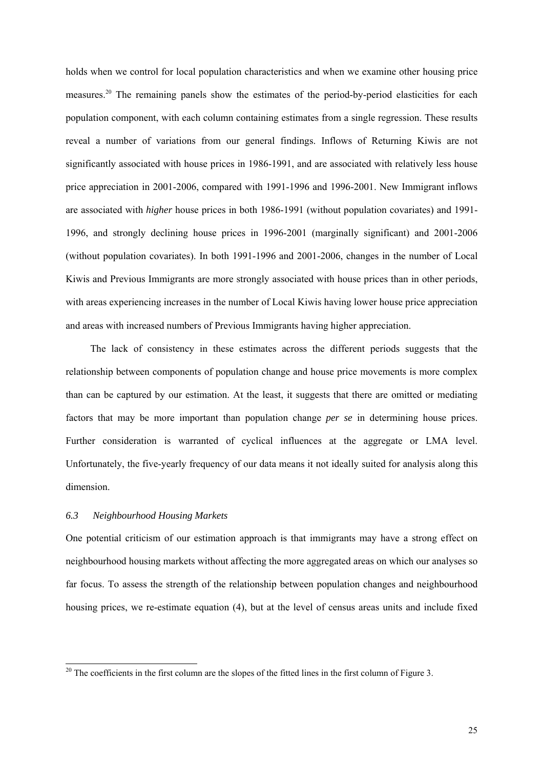holds when we control for local population characteristics and when we examine other housing price measures.<sup>20</sup> The remaining panels show the estimates of the period-by-period elasticities for each population component, with each column containing estimates from a single regression. These results reveal a number of variations from our general findings. Inflows of Returning Kiwis are not significantly associated with house prices in 1986-1991, and are associated with relatively less house price appreciation in 2001-2006, compared with 1991-1996 and 1996-2001. New Immigrant inflows are associated with *higher* house prices in both 1986-1991 (without population covariates) and 1991- 1996, and strongly declining house prices in 1996-2001 (marginally significant) and 2001-2006 (without population covariates). In both 1991-1996 and 2001-2006, changes in the number of Local Kiwis and Previous Immigrants are more strongly associated with house prices than in other periods, with areas experiencing increases in the number of Local Kiwis having lower house price appreciation and areas with increased numbers of Previous Immigrants having higher appreciation.

The lack of consistency in these estimates across the different periods suggests that the relationship between components of population change and house price movements is more complex than can be captured by our estimation. At the least, it suggests that there are omitted or mediating factors that may be more important than population change *per se* in determining house prices. Further consideration is warranted of cyclical influences at the aggregate or LMA level. Unfortunately, the five-yearly frequency of our data means it not ideally suited for analysis along this dimension.

### *6.3 Neighbourhood Housing Markets*

l

One potential criticism of our estimation approach is that immigrants may have a strong effect on neighbourhood housing markets without affecting the more aggregated areas on which our analyses so far focus. To assess the strength of the relationship between population changes and neighbourhood housing prices, we re-estimate equation (4), but at the level of census areas units and include fixed

 $20$  The coefficients in the first column are the slopes of the fitted lines in the first column of Figure 3.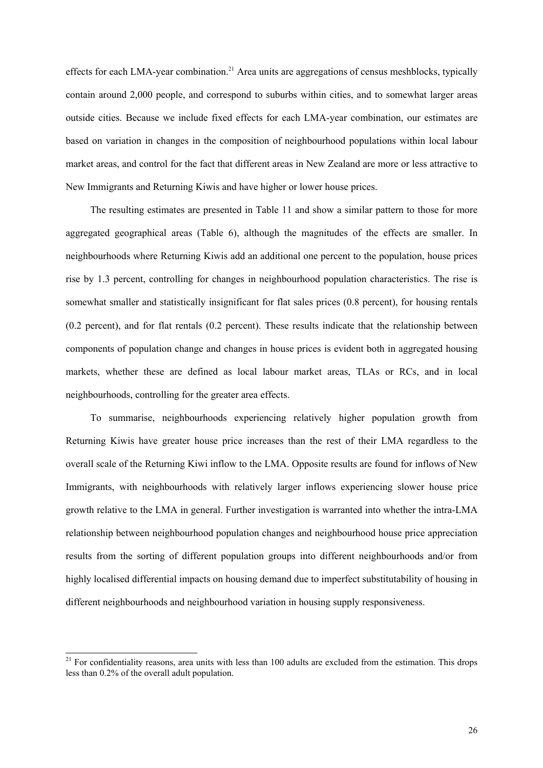effects for each LMA-year combination.<sup>21</sup> Area units are aggregations of census meshblocks, typically contain around 2,000 people, and correspond to suburbs within cities, and to somewhat larger areas outside cities. Because we include fixed effects for each LMA-year combination, our estimates are based on variation in changes in the composition of neighbourhood populations within local labour market areas, and control for the fact that different areas in New Zealand are more or less attractive to New Immigrants and Returning Kiwis and have higher or lower house prices.

The resulting estimates are presented in Table 11 and show a similar pattern to those for more aggregated geographical areas (Table 6), although the magnitudes of the effects are smaller. In neighbourhoods where Returning Kiwis add an additional one percent to the population, house prices rise by 1.3 percent, controlling for changes in neighbourhood population characteristics. The rise is somewhat smaller and statistically insignificant for flat sales prices (0.8 percent), for housing rentals (0.2 percent), and for flat rentals (0.2 percent). These results indicate that the relationship between components of population change and changes in house prices is evident both in aggregated housing markets, whether these are defined as local labour market areas, TLAs or RCs, and in local neighbourhoods, controlling for the greater area effects.

To summarise, neighbourhoods experiencing relatively higher population growth from Returning Kiwis have greater house price increases than the rest of their LMA regardless to the overall scale of the Returning Kiwi inflow to the LMA. Opposite results are found for inflows of New Immigrants, with neighbourhoods with relatively larger inflows experiencing slower house price growth relative to the LMA in general. Further investigation is warranted into whether the intra-LMA relationship between neighbourhood population changes and neighbourhood house price appreciation results from the sorting of different population groups into different neighbourhoods and/or from highly localised differential impacts on housing demand due to imperfect substitutability of housing in different neighbourhoods and neighbourhood variation in housing supply responsiveness.

 $\overline{a}$ 

 $21$  For confidentiality reasons, area units with less than 100 adults are excluded from the estimation. This drops less than 0.2% of the overall adult population.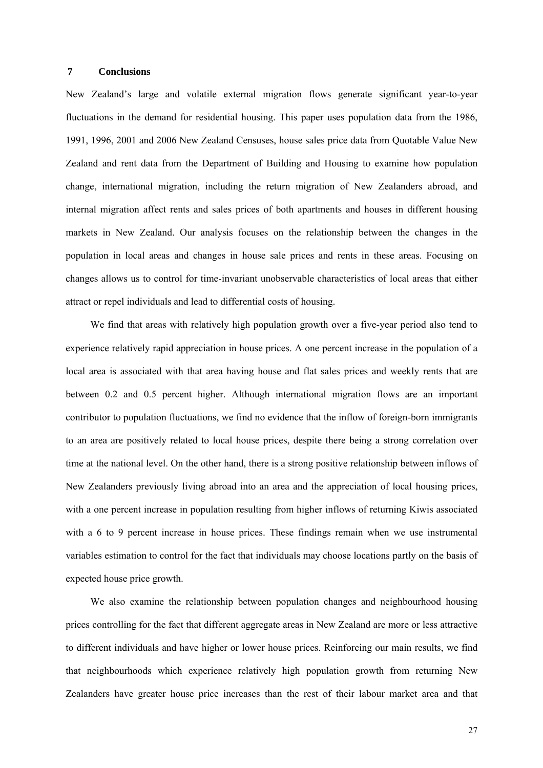#### **7 Conclusions**

New Zealand's large and volatile external migration flows generate significant year-to-year fluctuations in the demand for residential housing. This paper uses population data from the 1986, 1991, 1996, 2001 and 2006 New Zealand Censuses, house sales price data from Quotable Value New Zealand and rent data from the Department of Building and Housing to examine how population change, international migration, including the return migration of New Zealanders abroad, and internal migration affect rents and sales prices of both apartments and houses in different housing markets in New Zealand. Our analysis focuses on the relationship between the changes in the population in local areas and changes in house sale prices and rents in these areas. Focusing on changes allows us to control for time-invariant unobservable characteristics of local areas that either attract or repel individuals and lead to differential costs of housing.

We find that areas with relatively high population growth over a five-year period also tend to experience relatively rapid appreciation in house prices. A one percent increase in the population of a local area is associated with that area having house and flat sales prices and weekly rents that are between 0.2 and 0.5 percent higher. Although international migration flows are an important contributor to population fluctuations, we find no evidence that the inflow of foreign-born immigrants to an area are positively related to local house prices, despite there being a strong correlation over time at the national level. On the other hand, there is a strong positive relationship between inflows of New Zealanders previously living abroad into an area and the appreciation of local housing prices, with a one percent increase in population resulting from higher inflows of returning Kiwis associated with a 6 to 9 percent increase in house prices. These findings remain when we use instrumental variables estimation to control for the fact that individuals may choose locations partly on the basis of expected house price growth.

We also examine the relationship between population changes and neighbourhood housing prices controlling for the fact that different aggregate areas in New Zealand are more or less attractive to different individuals and have higher or lower house prices. Reinforcing our main results, we find that neighbourhoods which experience relatively high population growth from returning New Zealanders have greater house price increases than the rest of their labour market area and that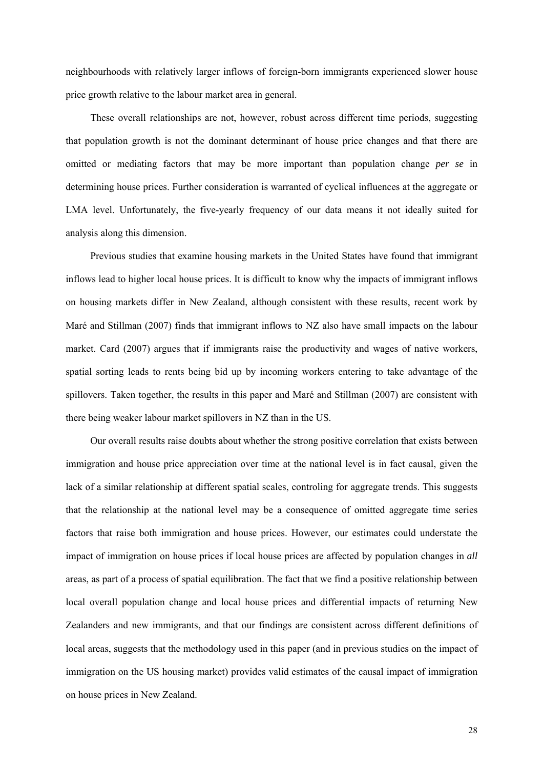neighbourhoods with relatively larger inflows of foreign-born immigrants experienced slower house price growth relative to the labour market area in general.

These overall relationships are not, however, robust across different time periods, suggesting that population growth is not the dominant determinant of house price changes and that there are omitted or mediating factors that may be more important than population change *per se* in determining house prices. Further consideration is warranted of cyclical influences at the aggregate or LMA level. Unfortunately, the five-yearly frequency of our data means it not ideally suited for analysis along this dimension.

Previous studies that examine housing markets in the United States have found that immigrant inflows lead to higher local house prices. It is difficult to know why the impacts of immigrant inflows on housing markets differ in New Zealand, although consistent with these results, recent work by Maré and Stillman (2007) finds that immigrant inflows to NZ also have small impacts on the labour market. Card (2007) argues that if immigrants raise the productivity and wages of native workers, spatial sorting leads to rents being bid up by incoming workers entering to take advantage of the spillovers. Taken together, the results in this paper and Maré and Stillman (2007) are consistent with there being weaker labour market spillovers in NZ than in the US.

Our overall results raise doubts about whether the strong positive correlation that exists between immigration and house price appreciation over time at the national level is in fact causal, given the lack of a similar relationship at different spatial scales, controling for aggregate trends. This suggests that the relationship at the national level may be a consequence of omitted aggregate time series factors that raise both immigration and house prices. However, our estimates could understate the impact of immigration on house prices if local house prices are affected by population changes in *all* areas, as part of a process of spatial equilibration. The fact that we find a positive relationship between local overall population change and local house prices and differential impacts of returning New Zealanders and new immigrants, and that our findings are consistent across different definitions of local areas, suggests that the methodology used in this paper (and in previous studies on the impact of immigration on the US housing market) provides valid estimates of the causal impact of immigration on house prices in New Zealand.

28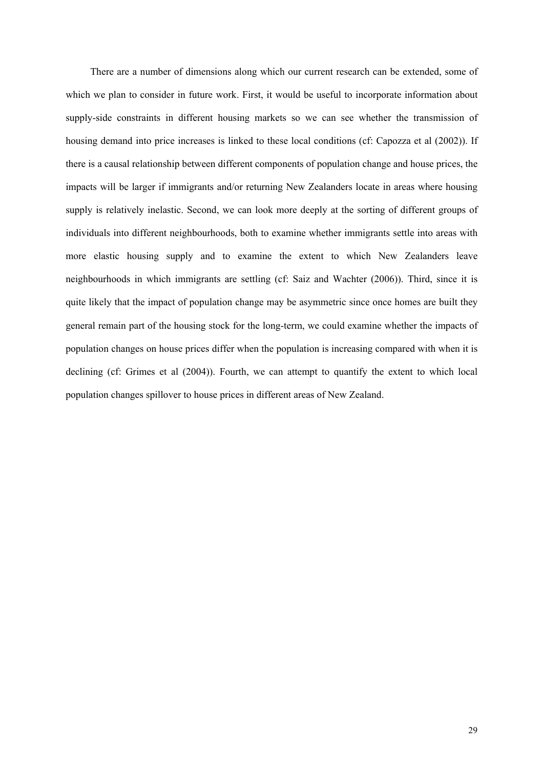There are a number of dimensions along which our current research can be extended, some of which we plan to consider in future work. First, it would be useful to incorporate information about supply-side constraints in different housing markets so we can see whether the transmission of housing demand into price increases is linked to these local conditions (cf: Capozza et al (2002)). If there is a causal relationship between different components of population change and house prices, the impacts will be larger if immigrants and/or returning New Zealanders locate in areas where housing supply is relatively inelastic. Second, we can look more deeply at the sorting of different groups of individuals into different neighbourhoods, both to examine whether immigrants settle into areas with more elastic housing supply and to examine the extent to which New Zealanders leave neighbourhoods in which immigrants are settling (cf: Saiz and Wachter (2006)). Third, since it is quite likely that the impact of population change may be asymmetric since once homes are built they general remain part of the housing stock for the long-term, we could examine whether the impacts of population changes on house prices differ when the population is increasing compared with when it is declining (cf: Grimes et al (2004)). Fourth, we can attempt to quantify the extent to which local population changes spillover to house prices in different areas of New Zealand.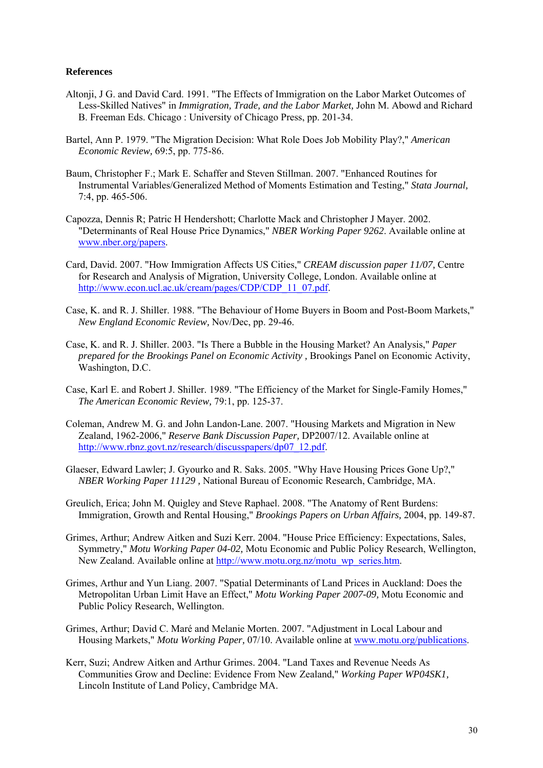#### **References**

- Altonji, J G. and David Card. 1991. "The Effects of Immigration on the Labor Market Outcomes of Less-Skilled Natives" in *Immigration, Trade, and the Labor Market,* John M. Abowd and Richard B. Freeman Eds. Chicago : University of Chicago Press, pp. 201-34.
- Bartel, Ann P. 1979. "The Migration Decision: What Role Does Job Mobility Play?," *American Economic Review,* 69:5, pp. 775-86.
- Baum, Christopher F.; Mark E. Schaffer and Steven Stillman. 2007. "Enhanced Routines for Instrumental Variables/Generalized Method of Moments Estimation and Testing," *Stata Journal,*  7:4, pp. 465-506.
- Capozza, Dennis R; Patric H Hendershott; Charlotte Mack and Christopher J Mayer. 2002. "Determinants of Real House Price Dynamics," *NBER Working Paper 9262*. Available online at www.nber.org/papers.
- Card, David. 2007. "How Immigration Affects US Cities," *CREAM discussion paper 11/07,* Centre for Research and Analysis of Migration, University College, London. Available online at http://www.econ.ucl.ac.uk/cream/pages/CDP/CDP\_11\_07.pdf.
- Case, K. and R. J. Shiller. 1988. "The Behaviour of Home Buyers in Boom and Post-Boom Markets," *New England Economic Review,* Nov/Dec, pp. 29-46.
- Case, K. and R. J. Shiller. 2003. "Is There a Bubble in the Housing Market? An Analysis," *Paper prepared for the Brookings Panel on Economic Activity ,* Brookings Panel on Economic Activity, Washington, D.C.
- Case, Karl E. and Robert J. Shiller. 1989. "The Efficiency of the Market for Single-Family Homes," *The American Economic Review,* 79:1, pp. 125-37.
- Coleman, Andrew M. G. and John Landon-Lane. 2007. "Housing Markets and Migration in New Zealand, 1962-2006," *Reserve Bank Discussion Paper,* DP2007/12. Available online at http://www.rbnz.govt.nz/research/discusspapers/dp07\_12.pdf.
- Glaeser, Edward Lawler; J. Gyourko and R. Saks. 2005. "Why Have Housing Prices Gone Up?," *NBER Working Paper 11129 ,* National Bureau of Economic Research, Cambridge, MA.
- Greulich, Erica; John M. Quigley and Steve Raphael. 2008. "The Anatomy of Rent Burdens: Immigration, Growth and Rental Housing," *Brookings Papers on Urban Affairs,* 2004, pp. 149-87.
- Grimes, Arthur; Andrew Aitken and Suzi Kerr. 2004. "House Price Efficiency: Expectations, Sales, Symmetry," *Motu Working Paper 04-02,* Motu Economic and Public Policy Research, Wellington, New Zealand. Available online at http://www.motu.org.nz/motu\_wp\_series.htm.
- Grimes, Arthur and Yun Liang. 2007. "Spatial Determinants of Land Prices in Auckland: Does the Metropolitan Urban Limit Have an Effect," *Motu Working Paper 2007-09,* Motu Economic and Public Policy Research, Wellington.
- Grimes, Arthur; David C. Maré and Melanie Morten. 2007. "Adjustment in Local Labour and Housing Markets," *Motu Working Paper,* 07/10. Available online at www.motu.org/publications.
- Kerr, Suzi; Andrew Aitken and Arthur Grimes. 2004. "Land Taxes and Revenue Needs As Communities Grow and Decline: Evidence From New Zealand," *Working Paper WP04SK1,*  Lincoln Institute of Land Policy, Cambridge MA.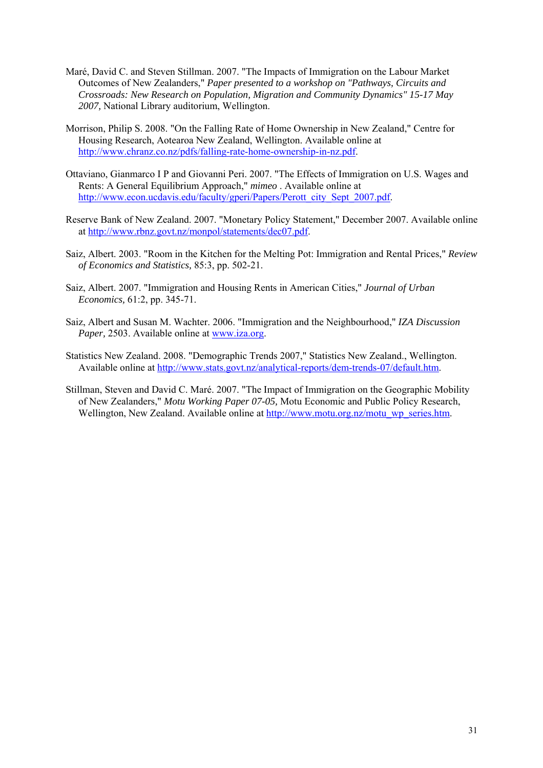- Maré, David C. and Steven Stillman. 2007. "The Impacts of Immigration on the Labour Market Outcomes of New Zealanders," *Paper presented to a workshop on "Pathways, Circuits and Crossroads: New Research on Population, Migration and Community Dynamics" 15-17 May 2007,* National Library auditorium, Wellington.
- Morrison, Philip S. 2008. "On the Falling Rate of Home Ownership in New Zealand," Centre for Housing Research, Aotearoa New Zealand, Wellington. Available online at http://www.chranz.co.nz/pdfs/falling-rate-home-ownership-in-nz.pdf.
- Ottaviano, Gianmarco I P and Giovanni Peri. 2007. "The Effects of Immigration on U.S. Wages and Rents: A General Equilibrium Approach," *mimeo* . Available online at http://www.econ.ucdavis.edu/faculty/gperi/Papers/Perott\_city\_Sept\_2007.pdf.
- Reserve Bank of New Zealand. 2007. "Monetary Policy Statement," December 2007. Available online at http://www.rbnz.govt.nz/monpol/statements/dec07.pdf.
- Saiz, Albert. 2003. "Room in the Kitchen for the Melting Pot: Immigration and Rental Prices," *Review of Economics and Statistics,* 85:3, pp. 502-21.
- Saiz, Albert. 2007. "Immigration and Housing Rents in American Cities," *Journal of Urban Economics,* 61:2, pp. 345-71.
- Saiz, Albert and Susan M. Wachter. 2006. "Immigration and the Neighbourhood," *IZA Discussion Paper,* 2503. Available online at www.iza.org.
- Statistics New Zealand. 2008. "Demographic Trends 2007," Statistics New Zealand., Wellington. Available online at http://www.stats.govt.nz/analytical-reports/dem-trends-07/default.htm.
- Stillman, Steven and David C. Maré. 2007. "The Impact of Immigration on the Geographic Mobility of New Zealanders," *Motu Working Paper 07-05,* Motu Economic and Public Policy Research, Wellington, New Zealand. Available online at http://www.motu.org.nz/motu\_wp\_series.htm.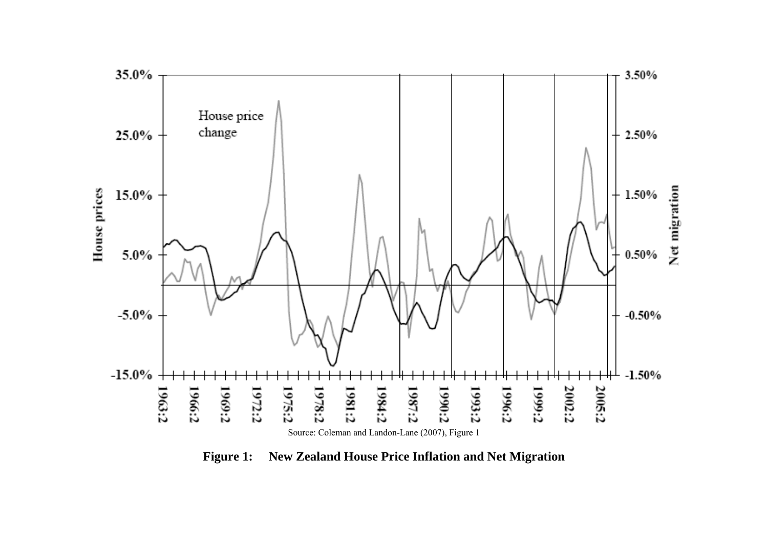

**Figure 1: New Zealand House Price Inflation and Net Migration**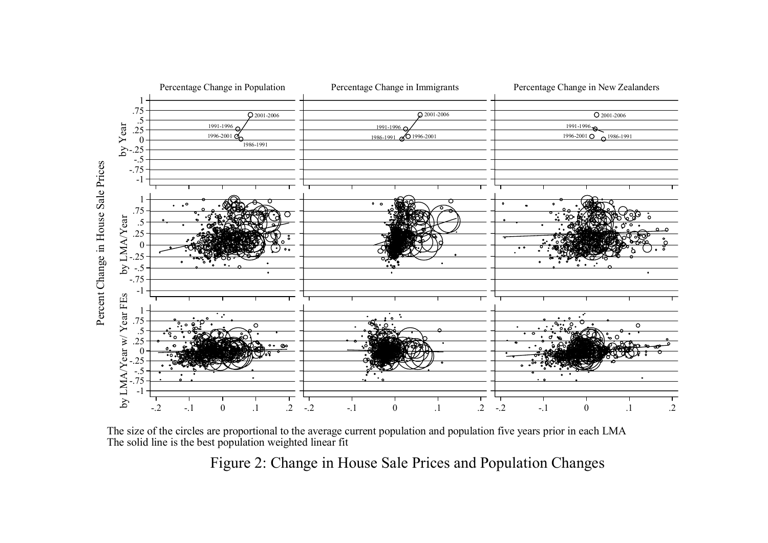

The size of the circles are proportional to the average current population and population five years prior in each LMA The solid line is the best population weighted linear fit

Figure 2: Change in House Sale Prices and Population Changes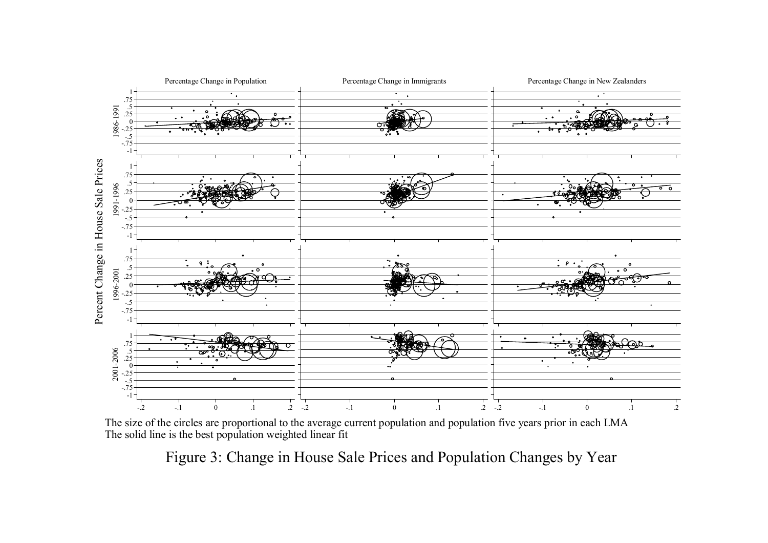

The size of the circles are proportional to the average current population and population five years prior in each LMA The solid line is the best population weighted linear fit

Figure 3: Change in House Sale Prices and Population Changes by Year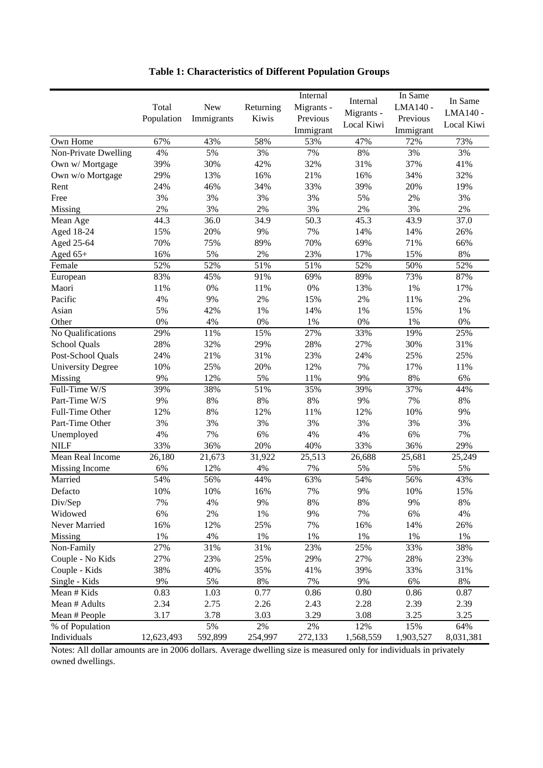|                          |            |            |           | Internal   |            | In Same   |            |
|--------------------------|------------|------------|-----------|------------|------------|-----------|------------|
|                          | Total      | <b>New</b> | Returning | Migrants - | Internal   | LMA140 -  | In Same    |
|                          | Population | Immigrants | Kiwis     | Previous   | Migrants - | Previous  | LMA140 -   |
|                          |            |            |           | Immigrant  | Local Kiwi | Immigrant | Local Kiwi |
| Own Home                 | 67%        | 43%        | 58%       | 53%        | 47%        | 72%       | 73%        |
| Non-Private Dwelling     | 4%         | 5%         | 3%        | 7%         | $8\%$      | 3%        | 3%         |
| Own w/ Mortgage          | 39%        | 30%        | 42%       | 32%        | 31%        | 37%       | 41%        |
| Own w/o Mortgage         | 29%        | 13%        | 16%       | 21%        | 16%        | 34%       | 32%        |
| Rent                     | 24%        | 46%        | 34%       | 33%        | 39%        | 20%       | 19%        |
| Free                     | 3%         | 3%         | 3%        | 3%         | 5%         | 2%        | 3%         |
| Missing                  | 2%         | 3%         | 2%        | 3%         | $2\%$      | 3%        | $2\%$      |
| Mean Age                 | 44.3       | 36.0       | 34.9      | 50.3       | 45.3       | 43.9      | 37.0       |
| Aged 18-24               | 15%        | 20%        | 9%        | 7%         | 14%        | 14%       | 26%        |
| Aged 25-64               | 70%        | 75%        | 89%       | 70%        | 69%        | 71%       | 66%        |
| Aged $65+$               | 16%        | 5%         | 2%        | 23%        | 17%        | 15%       | 8%         |
| Female                   | 52%        | 52%        | 51%       | 51%        | 52%        | 50%       | 52%        |
| European                 | 83%        | 45%        | 91%       | 69%        | 89%        | 73%       | 87%        |
| Maori                    | 11%        | 0%         | 11%       | $0\%$      | 13%        | 1%        | 17%        |
| Pacific                  | 4%         | 9%         | 2%        | 15%        | 2%         | 11%       | 2%         |
| Asian                    | 5%         | 42%        | 1%        | 14%        | 1%         | 15%       | 1%         |
| Other                    | 0%         | 4%         | 0%        | 1%         | $0\%$      | 1%        | 0%         |
| No Qualifications        | 29%        | 11%        | 15%       | 27%        | 33%        | 19%       | 25%        |
| <b>School Quals</b>      | 28%        | 32%        | 29%       | 28%        | 27%        | 30%       | 31%        |
| Post-School Quals        | 24%        | 21%        | 31%       | 23%        | 24%        | 25%       | 25%        |
| <b>University Degree</b> | 10%        | 25%        | 20%       | 12%        | 7%         | 17%       | 11%        |
| Missing                  | 9%         | 12%        | 5%        | 11%        | 9%         | $8\%$     | 6%         |
| Full-Time W/S            | 39%        | 38%        | 51%       | 35%        | 39%        | 37%       | 44%        |
| Part-Time W/S            | 9%         | 8%         | $8\%$     | $8\%$      | 9%         | 7%        | $8\%$      |
| Full-Time Other          | 12%        | 8%         | 12%       | 11%        | 12%        | 10%       | 9%         |
| Part-Time Other          | 3%         | 3%         | 3%        | 3%         | 3%         | 3%        | 3%         |
| Unemployed               | 4%         | 7%         | 6%        | 4%         | 4%         | 6%        | 7%         |
| <b>NILF</b>              | 33%        | 36%        | 20%       | 40%        | 33%        | 36%       | 29%        |
| Mean Real Income         | 26,180     | 21,673     | 31,922    | 25,513     | 26,688     | 25,681    | 25,249     |
| <b>Missing Income</b>    | 6%         | 12%        | 4%        | 7%         | 5%         | 5%        | 5%         |
| Married                  | 54%        | 56%        | 44%       | 63%        | 54%        | 56%       | 43%        |
| Defacto                  | 10%        | 10%        | 16%       | 7%         | 9%         | 10%       | 15%        |
| Div/Sep                  | 7%         | 4%         | 9%        | 8%         | $8\%$      | 9%        | 8%         |
| Widowed                  | 6%         | $2\%$      | 1%        | 9%         | 7%         | 6%        | 4%         |
| Never Married            | 16%        | 12%        | 25%       | 7%         | 16%        | 14%       | 26%        |
| Missing                  | $1\%$      | 4%         | 1%        | $1\%$      | $1\%$      | $1\%$     | 1%         |
| Non-Family               | 27%        | 31%        | 31%       | 23%        | 25%        | 33%       | 38%        |
| Couple - No Kids         | 27%        | 23%        | 25%       | 29%        | 27%        | 28%       | 23%        |
| Couple - Kids            | 38%        | 40%        | 35%       | 41%        | 39%        | 33%       | 31%        |
| Single - Kids            | 9%         | $5\%$      | $8\%$     | $7\%$      | $9\%$      | 6%        | $8\%$      |
| Mean # Kids              | 0.83       | 1.03       | 0.77      | 0.86       | $0.80\,$   | 0.86      | 0.87       |
| Mean # Adults            | 2.34       | 2.75       | 2.26      | 2.43       | 2.28       | 2.39      | 2.39       |
| Mean # People            | 3.17       | 3.78       | 3.03      | 3.29       | 3.08       | 3.25      | 3.25       |
| % of Population          |            | 5%         | 2%        | 2%         | 12%        | 15%       | 64%        |
| Individuals              | 12,623,493 | 592,899    | 254,997   | 272,133    | 1,568,559  | 1,903,527 | 8,031,381  |

## **Table 1: Characteristics of Different Population Groups**

Notes: All dollar amounts are in 2006 dollars. Average dwelling size is measured only for individuals in privately owned dwellings.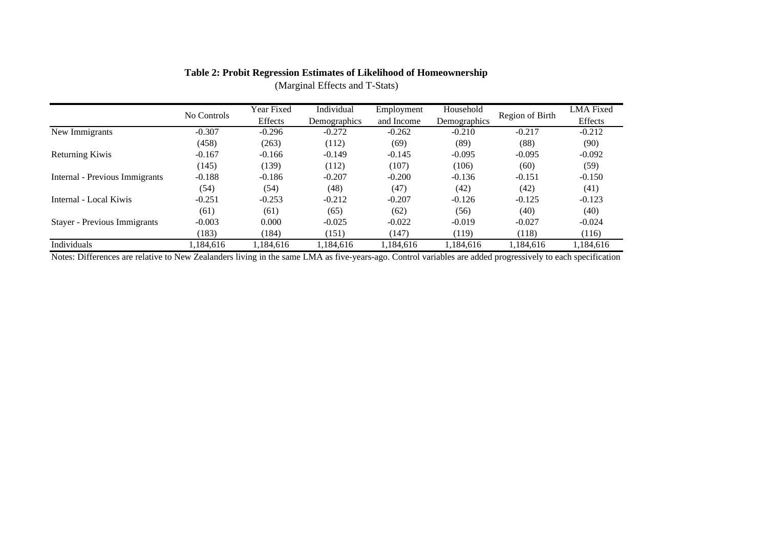## **Table 2: Probit Regression Estimates of Likelihood of Homeownership**

|                                     | No Controls | Year Fixed<br>Effects | Individual<br>Demographics | Employment<br>and Income | Household<br>Demographics | Region of Birth | <b>LMA</b> Fixed<br>Effects |
|-------------------------------------|-------------|-----------------------|----------------------------|--------------------------|---------------------------|-----------------|-----------------------------|
| New Immigrants                      | $-0.307$    | $-0.296$              | $-0.272$                   | $-0.262$                 | $-0.210$                  | $-0.217$        | $-0.212$                    |
|                                     | (458)       | (263)                 | (112)                      | (69)                     | (89)                      | (88)            | (90)                        |
| Returning Kiwis                     | $-0.167$    | $-0.166$              | $-0.149$                   | $-0.145$                 | $-0.095$                  | $-0.095$        | $-0.092$                    |
|                                     | (145)       | (139)                 | (112)                      | (107)                    | (106)                     | (60)            | (59)                        |
| Internal - Previous Immigrants      | $-0.188$    | $-0.186$              | $-0.207$                   | $-0.200$                 | $-0.136$                  | $-0.151$        | $-0.150$                    |
|                                     | (54)        | (54)                  | (48)                       | (47)                     | (42)                      | (42)            | (41)                        |
| Internal - Local Kiwis              | $-0.251$    | $-0.253$              | $-0.212$                   | $-0.207$                 | $-0.126$                  | $-0.125$        | $-0.123$                    |
|                                     | (61)        | (61)                  | (65)                       | (62)                     | (56)                      | (40)            | (40)                        |
| <b>Stayer</b> - Previous Immigrants | $-0.003$    | 0.000                 | $-0.025$                   | $-0.022$                 | $-0.019$                  | $-0.027$        | $-0.024$                    |
|                                     | (183)       | (184)                 | (151)                      | (147)                    | (119)                     | (118)           | (116)                       |
| Individuals                         | 1,184,616   | 1.184.616             | 1.184.616                  | 1,184,616                | 1,184,616                 | 1,184,616       | 1,184,616                   |

(Marginal Effects and T-Stats)

Notes: Differences are relative to New Zealanders living in the same LMA as five-years-ago. Control variables are added progressively to each specification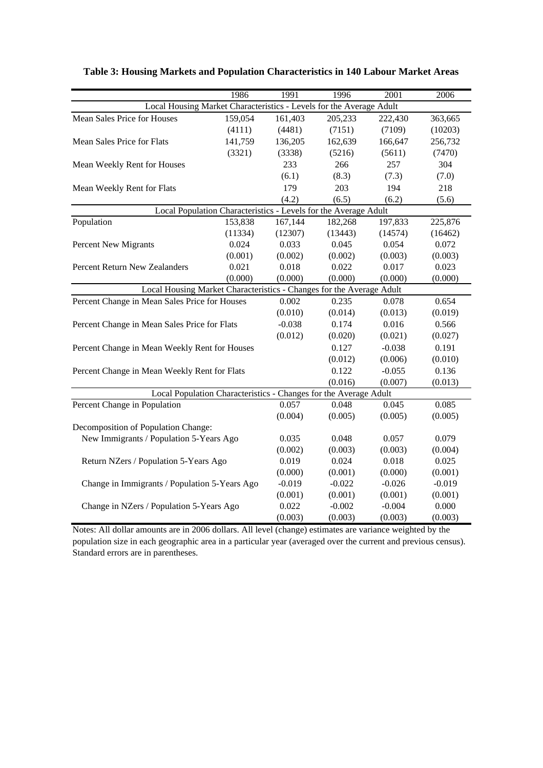|                                                                      | 1986                                                            | 1991     | 1996     | 2001     | 2006     |  |  |  |  |  |  |
|----------------------------------------------------------------------|-----------------------------------------------------------------|----------|----------|----------|----------|--|--|--|--|--|--|
| Local Housing Market Characteristics - Levels for the Average Adult  |                                                                 |          |          |          |          |  |  |  |  |  |  |
| Mean Sales Price for Houses                                          | 159,054                                                         | 161,403  | 205,233  | 222,430  | 363,665  |  |  |  |  |  |  |
|                                                                      | (4111)                                                          | (4481)   | (7151)   | (7109)   | (10203)  |  |  |  |  |  |  |
| Mean Sales Price for Flats                                           | 141,759                                                         | 136,205  | 162,639  | 166,647  | 256,732  |  |  |  |  |  |  |
|                                                                      | (3321)                                                          | (3338)   | (5216)   | (5611)   | (7470)   |  |  |  |  |  |  |
| Mean Weekly Rent for Houses                                          |                                                                 | 233      | 266      | 257      | 304      |  |  |  |  |  |  |
|                                                                      |                                                                 | (6.1)    | (8.3)    | (7.3)    | (7.0)    |  |  |  |  |  |  |
| Mean Weekly Rent for Flats                                           |                                                                 | 179      | 203      | 194      | 218      |  |  |  |  |  |  |
|                                                                      |                                                                 | (4.2)    | (6.5)    | (6.2)    | (5.6)    |  |  |  |  |  |  |
|                                                                      | Local Population Characteristics - Levels for the Average Adult |          |          |          |          |  |  |  |  |  |  |
| Population                                                           | 153,838                                                         | 167,144  | 182,268  | 197,833  | 225,876  |  |  |  |  |  |  |
|                                                                      | (11334)                                                         | (12307)  | (13443)  | (14574)  | (16462)  |  |  |  |  |  |  |
| <b>Percent New Migrants</b>                                          | 0.024                                                           | 0.033    | 0.045    | 0.054    | 0.072    |  |  |  |  |  |  |
|                                                                      | (0.001)                                                         | (0.002)  | (0.002)  | (0.003)  | (0.003)  |  |  |  |  |  |  |
| Percent Return New Zealanders                                        | 0.021                                                           | 0.018    | 0.022    | 0.017    | 0.023    |  |  |  |  |  |  |
|                                                                      | (0.000)                                                         | (0.000)  | (0.000)  | (0.000)  | (0.000)  |  |  |  |  |  |  |
| Local Housing Market Characteristics - Changes for the Average Adult |                                                                 |          |          |          |          |  |  |  |  |  |  |
| Percent Change in Mean Sales Price for Houses                        |                                                                 | 0.002    | 0.235    | 0.078    | 0.654    |  |  |  |  |  |  |
|                                                                      |                                                                 | (0.010)  | (0.014)  | (0.013)  | (0.019)  |  |  |  |  |  |  |
| Percent Change in Mean Sales Price for Flats                         |                                                                 | $-0.038$ | 0.174    | 0.016    | 0.566    |  |  |  |  |  |  |
|                                                                      |                                                                 | (0.012)  | (0.020)  | (0.021)  | (0.027)  |  |  |  |  |  |  |
| Percent Change in Mean Weekly Rent for Houses                        |                                                                 |          | 0.127    | $-0.038$ | 0.191    |  |  |  |  |  |  |
|                                                                      |                                                                 |          | (0.012)  | (0.006)  | (0.010)  |  |  |  |  |  |  |
| Percent Change in Mean Weekly Rent for Flats                         |                                                                 |          | 0.122    | $-0.055$ | 0.136    |  |  |  |  |  |  |
|                                                                      |                                                                 |          | (0.016)  | (0.007)  | (0.013)  |  |  |  |  |  |  |
| Local Population Characteristics - Changes for the Average Adult     |                                                                 |          |          |          |          |  |  |  |  |  |  |
| Percent Change in Population                                         |                                                                 | 0.057    | 0.048    | 0.045    | 0.085    |  |  |  |  |  |  |
|                                                                      |                                                                 | (0.004)  | (0.005)  | (0.005)  | (0.005)  |  |  |  |  |  |  |
| Decomposition of Population Change:                                  |                                                                 |          |          |          |          |  |  |  |  |  |  |
| New Immigrants / Population 5-Years Ago                              |                                                                 | 0.035    | 0.048    | 0.057    | 0.079    |  |  |  |  |  |  |
|                                                                      |                                                                 | (0.002)  | (0.003)  | (0.003)  | (0.004)  |  |  |  |  |  |  |
| Return NZers / Population 5-Years Ago                                |                                                                 | 0.019    | 0.024    | 0.018    | 0.025    |  |  |  |  |  |  |
|                                                                      |                                                                 | (0.000)  | (0.001)  | (0.000)  | (0.001)  |  |  |  |  |  |  |
| Change in Immigrants / Population 5-Years Ago                        |                                                                 | $-0.019$ | $-0.022$ | $-0.026$ | $-0.019$ |  |  |  |  |  |  |
|                                                                      |                                                                 | (0.001)  | (0.001)  | (0.001)  | (0.001)  |  |  |  |  |  |  |
| Change in NZers / Population 5-Years Ago                             |                                                                 | 0.022    | $-0.002$ | $-0.004$ | 0.000    |  |  |  |  |  |  |
|                                                                      |                                                                 | (0.003)  | (0.003)  | (0.003)  | (0.003)  |  |  |  |  |  |  |

|  | Table 3: Housing Markets and Population Characteristics in 140 Labour Market Areas |  |
|--|------------------------------------------------------------------------------------|--|
|  |                                                                                    |  |

Notes: All dollar amounts are in 2006 dollars. All level (change) estimates are variance weighted by the population size in each geographic area in a particular year (averaged over the current and previous census). Standard errors are in parentheses.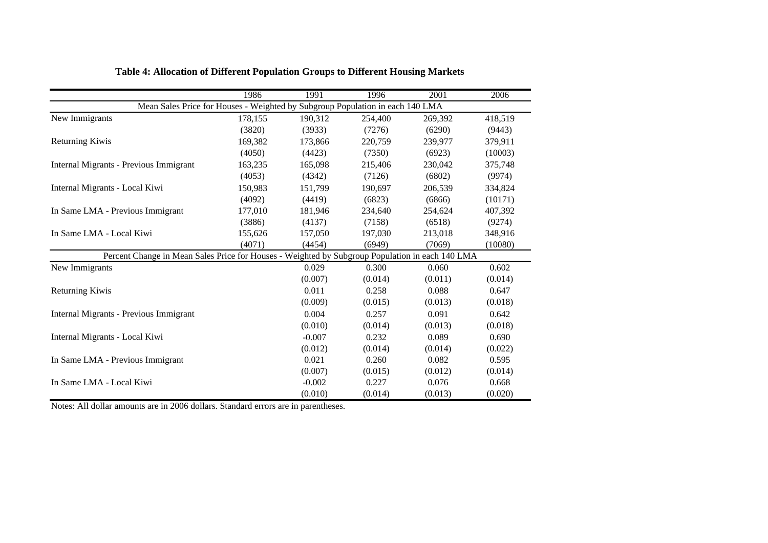|                                                                                                 | 1986    | 1991     | 1996    | 2001    | 2006    |
|-------------------------------------------------------------------------------------------------|---------|----------|---------|---------|---------|
| Mean Sales Price for Houses - Weighted by Subgroup Population in each 140 LMA                   |         |          |         |         |         |
| New Immigrants                                                                                  | 178,155 | 190,312  | 254,400 | 269,392 | 418,519 |
|                                                                                                 | (3820)  | (3933)   | (7276)  | (6290)  | (9443)  |
| <b>Returning Kiwis</b>                                                                          | 169,382 | 173,866  | 220,759 | 239,977 | 379,911 |
|                                                                                                 | (4050)  | (4423)   | (7350)  | (6923)  | (10003) |
| Internal Migrants - Previous Immigrant                                                          | 163,235 | 165,098  | 215,406 | 230,042 | 375,748 |
|                                                                                                 | (4053)  | (4342)   | (7126)  | (6802)  | (9974)  |
| Internal Migrants - Local Kiwi                                                                  | 150,983 | 151,799  | 190,697 | 206,539 | 334,824 |
|                                                                                                 | (4092)  | (4419)   | (6823)  | (6866)  | (10171) |
| In Same LMA - Previous Immigrant                                                                | 177,010 | 181,946  | 234,640 | 254,624 | 407,392 |
|                                                                                                 | (3886)  | (4137)   | (7158)  | (6518)  | (9274)  |
| In Same LMA - Local Kiwi                                                                        | 155,626 | 157,050  | 197,030 | 213,018 | 348,916 |
|                                                                                                 | (4071)  | (4454)   | (6949)  | (7069)  | (10080) |
| Percent Change in Mean Sales Price for Houses - Weighted by Subgroup Population in each 140 LMA |         |          |         |         |         |
| New Immigrants                                                                                  |         | 0.029    | 0.300   | 0.060   | 0.602   |
|                                                                                                 |         | (0.007)  | (0.014) | (0.011) | (0.014) |
| <b>Returning Kiwis</b>                                                                          |         | 0.011    | 0.258   | 0.088   | 0.647   |
|                                                                                                 |         | (0.009)  | (0.015) | (0.013) | (0.018) |
| Internal Migrants - Previous Immigrant                                                          |         | 0.004    | 0.257   | 0.091   | 0.642   |
|                                                                                                 |         | (0.010)  | (0.014) | (0.013) | (0.018) |
| Internal Migrants - Local Kiwi                                                                  |         | $-0.007$ | 0.232   | 0.089   | 0.690   |
|                                                                                                 |         | (0.012)  | (0.014) | (0.014) | (0.022) |
| In Same LMA - Previous Immigrant                                                                |         | 0.021    | 0.260   | 0.082   | 0.595   |
|                                                                                                 |         | (0.007)  | (0.015) | (0.012) | (0.014) |
| In Same LMA - Local Kiwi                                                                        |         | $-0.002$ | 0.227   | 0.076   | 0.668   |
|                                                                                                 |         | (0.010)  | (0.014) | (0.013) | (0.020) |

## **Table 4: Allocation of Different Population Groups to Different Housing Markets**

Notes: All dollar amounts are in 2006 dollars. Standard errors are in parentheses.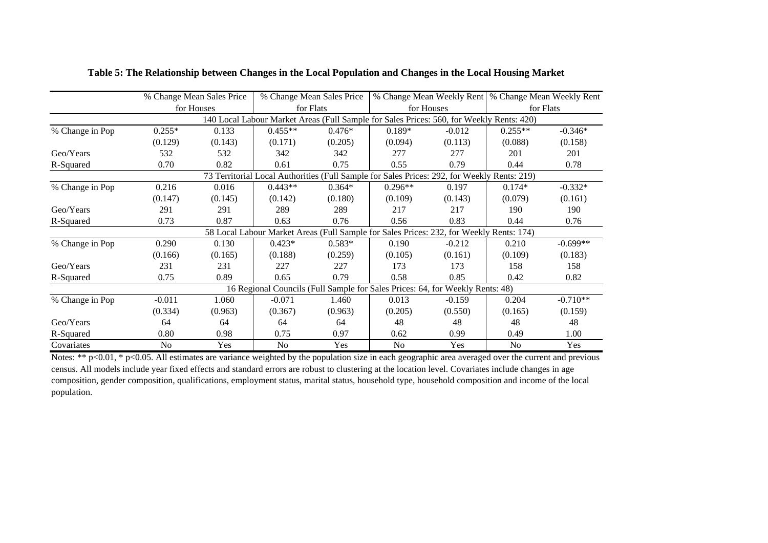|                 |          | % Change Mean Sales Price |           | % Change Mean Sales Price |                | % Change Mean Weekly Rent   % Change Mean Weekly Rent                                       |                |            |
|-----------------|----------|---------------------------|-----------|---------------------------|----------------|---------------------------------------------------------------------------------------------|----------------|------------|
|                 |          | for Houses                |           | for Flats                 |                | for Houses                                                                                  |                | for Flats  |
|                 |          |                           |           |                           |                | 140 Local Labour Market Areas (Full Sample for Sales Prices: 560, for Weekly Rents: 420)    |                |            |
| % Change in Pop | $0.255*$ | 0.133                     | $0.455**$ | $0.476*$                  | $0.189*$       | $-0.012$                                                                                    | $0.255**$      | $-0.346*$  |
|                 | (0.129)  | (0.143)                   | (0.171)   | (0.205)                   | (0.094)        | (0.113)                                                                                     | (0.088)        | (0.158)    |
| Geo/Years       | 532      | 532                       | 342       | 342                       | 277            | 277                                                                                         | 201            | 201        |
| R-Squared       | 0.70     | 0.82                      | 0.61      | 0.75                      | 0.55           | 0.79                                                                                        | 0.44           | 0.78       |
|                 |          |                           |           |                           |                | 73 Territorial Local Authorities (Full Sample for Sales Prices: 292, for Weekly Rents: 219) |                |            |
| % Change in Pop | 0.216    | 0.016                     | $0.443**$ | $0.364*$                  | $0.296**$      | 0.197                                                                                       | $0.174*$       | $-0.332*$  |
|                 | (0.147)  | (0.145)                   | (0.142)   | (0.180)                   | (0.109)        | (0.143)                                                                                     | (0.079)        | (0.161)    |
| Geo/Years       | 291      | 291                       | 289       | 289                       | 217            | 217                                                                                         | 190            | 190        |
| R-Squared       | 0.73     | 0.87                      | 0.63      | 0.76                      | 0.56           | 0.83                                                                                        | 0.44           | 0.76       |
|                 |          |                           |           |                           |                | 58 Local Labour Market Areas (Full Sample for Sales Prices: 232, for Weekly Rents: 174)     |                |            |
| % Change in Pop | 0.290    | 0.130                     | $0.423*$  | $0.583*$                  | 0.190          | $-0.212$                                                                                    | 0.210          | $-0.699**$ |
|                 | (0.166)  | (0.165)                   | (0.188)   | (0.259)                   | (0.105)        | (0.161)                                                                                     | (0.109)        | (0.183)    |
| Geo/Years       | 231      | 231                       | 227       | 227                       | 173            | 173                                                                                         | 158            | 158        |
| R-Squared       | 0.75     | 0.89                      | 0.65      | 0.79                      | 0.58           | 0.85                                                                                        | 0.42           | 0.82       |
|                 |          |                           |           |                           |                | 16 Regional Councils (Full Sample for Sales Prices: 64, for Weekly Rents: 48)               |                |            |
| % Change in Pop | $-0.011$ | 1.060                     | $-0.071$  | 1.460                     | 0.013          | $-0.159$                                                                                    | 0.204          | $-0.710**$ |
|                 | (0.334)  | (0.963)                   | (0.367)   | (0.963)                   | (0.205)        | (0.550)                                                                                     | (0.165)        | (0.159)    |
| Geo/Years       | 64       | 64                        | 64        | 64                        | 48             | 48                                                                                          | 48             | 48         |
| R-Squared       | 0.80     | 0.98                      | 0.75      | 0.97                      | 0.62           | 0.99                                                                                        | 0.49           | 1.00       |
| Covariates      | No       | Yes                       | No        | Yes                       | N <sub>o</sub> | Yes                                                                                         | N <sub>o</sub> | Yes        |

**Table 5: The Relationship between Changes in the Local Population and Changes in the Local Housing Market**

Notes: \*\* p<0.01, \* p<0.05. All estimates are variance weighted by the population size in each geographic area averaged over the current and previous census. All models include year fixed effects and standard errors are robust to clustering at the location level. Covariates include changes in age composition, gender composition, qualifications, employment status, marital status, household type, household composition and income of the local population.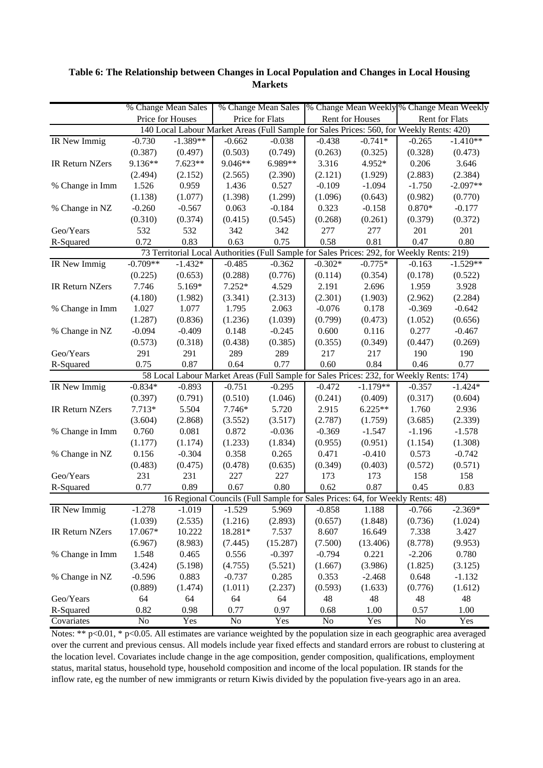|                 |            | % Change Mean Sales |          | % Change Mean Sales |           |                                                                                             | % Change Mean Weekly % Change Mean Weekly |                |  |
|-----------------|------------|---------------------|----------|---------------------|-----------|---------------------------------------------------------------------------------------------|-------------------------------------------|----------------|--|
|                 |            | Price for Houses    |          | Price for Flats     |           | Rent for Houses                                                                             |                                           | Rent for Flats |  |
|                 |            |                     |          |                     |           | 140 Local Labour Market Areas (Full Sample for Sales Prices: 560, for Weekly Rents: 420)    |                                           |                |  |
| IR New Immig    | $-0.730$   | $-1.389**$          | $-0.662$ | $-0.038$            | $-0.438$  | $-0.741*$                                                                                   | $-0.265$                                  | $-1.410**$     |  |
|                 | (0.387)    | (0.497)             | (0.503)  | (0.749)             | (0.263)   | (0.325)                                                                                     | (0.328)                                   | (0.473)        |  |
| IR Return NZers | 9.136**    | $7.623**$           | 9.046**  | 6.989**             | 3.316     | 4.952*                                                                                      | 0.206                                     | 3.646          |  |
|                 | (2.494)    | (2.152)             | (2.565)  | (2.390)             | (2.121)   | (1.929)                                                                                     | (2.883)                                   | (2.384)        |  |
| % Change in Imm | 1.526      | 0.959               | 1.436    | 0.527               | $-0.109$  | $-1.094$                                                                                    | $-1.750$                                  | $-2.097**$     |  |
|                 | (1.138)    | (1.077)             | (1.398)  | (1.299)             | (1.096)   | (0.643)                                                                                     | (0.982)                                   | (0.770)        |  |
| % Change in NZ  | $-0.260$   | $-0.567$            | 0.063    | $-0.184$            | 0.323     | $-0.158$                                                                                    | $0.870*$                                  | $-0.177$       |  |
|                 | (0.310)    | (0.374)             | (0.415)  | (0.545)             | (0.268)   | (0.261)                                                                                     | (0.379)                                   | (0.372)        |  |
| Geo/Years       | 532        | 532                 | 342      | 342                 | 277       | 277                                                                                         | 201                                       | 201            |  |
| R-Squared       | 0.72       | 0.83                | 0.63     | 0.75                | 0.58      | 0.81                                                                                        | 0.47                                      | 0.80           |  |
|                 |            |                     |          |                     |           | 73 Territorial Local Authorities (Full Sample for Sales Prices: 292, for Weekly Rents: 219) |                                           |                |  |
| IR New Immig    | $-0.709**$ | $-1.432*$           | $-0.485$ | $-0.362$            | $-0.302*$ | $-0.775*$                                                                                   | $-0.163$                                  | $-1.529**$     |  |
|                 | (0.225)    | (0.653)             | (0.288)  | (0.776)             | (0.114)   | (0.354)                                                                                     | (0.178)                                   | (0.522)        |  |
| IR Return NZers | 7.746      | 5.169*              | $7.252*$ | 4.529               | 2.191     | 2.696                                                                                       | 1.959                                     | 3.928          |  |
|                 | (4.180)    | (1.982)             | (3.341)  | (2.313)             | (2.301)   | (1.903)                                                                                     | (2.962)                                   | (2.284)        |  |
| % Change in Imm | 1.027      | 1.077               | 1.795    | 2.063               | $-0.076$  | 0.178                                                                                       | $-0.369$                                  | $-0.642$       |  |
|                 | (1.287)    | (0.836)             | (1.236)  | (1.039)             | (0.799)   | (0.473)                                                                                     | (1.052)                                   | (0.656)        |  |
| % Change in NZ  | $-0.094$   | $-0.409$            | 0.148    | $-0.245$            | 0.600     | 0.116                                                                                       | 0.277                                     | $-0.467$       |  |
|                 | (0.573)    | (0.318)             | (0.438)  | (0.385)             | (0.355)   | (0.349)                                                                                     | (0.447)                                   | (0.269)        |  |
| Geo/Years       | 291        | 291                 | 289      | 289                 | 217       | 217                                                                                         | 190                                       | 190            |  |
| R-Squared       | 0.75       | 0.87                | 0.64     | 0.77                | 0.60      | 0.84                                                                                        | 0.46                                      | 0.77           |  |
|                 |            |                     |          |                     |           | 58 Local Labour Market Areas (Full Sample for Sales Prices: 232, for Weekly Rents: 174)     |                                           |                |  |
| IR New Immig    | $-0.834*$  | $-0.893$            | $-0.751$ | $-0.295$            | $-0.472$  | $-1.179**$                                                                                  | $-0.357$                                  | $-1.424*$      |  |
|                 | (0.397)    | (0.791)             | (0.510)  | (1.046)             | (0.241)   | (0.409)                                                                                     | (0.317)                                   | (0.604)        |  |
| IR Return NZers | 7.713*     | 5.504               | 7.746*   | 5.720               | 2.915     | $6.225**$                                                                                   | 1.760                                     | 2.936          |  |
|                 | (3.604)    | (2.868)             | (3.552)  | (3.517)             | (2.787)   | (1.759)                                                                                     | (3.685)                                   | (2.339)        |  |
| % Change in Imm | 0.760      | 0.081               | 0.872    | $-0.036$            | $-0.369$  | $-1.547$                                                                                    | $-1.196$                                  | $-1.578$       |  |
|                 | (1.177)    | (1.174)             | (1.233)  | (1.834)             | (0.955)   | (0.951)                                                                                     | (1.154)                                   | (1.308)        |  |
| % Change in NZ  | 0.156      | $-0.304$            | 0.358    | 0.265               | 0.471     | $-0.410$                                                                                    | 0.573                                     | $-0.742$       |  |
|                 | (0.483)    | (0.475)             | (0.478)  | (0.635)             | (0.349)   | (0.403)                                                                                     | (0.572)                                   | (0.571)        |  |
| Geo/Years       | 231        | 231                 | 227      | 227                 | 173       | 173                                                                                         | 158                                       | 158            |  |
| R-Squared       | 0.77       | 0.89                | 0.67     | 0.80                | 0.62      | 0.87                                                                                        | 0.45                                      | 0.83           |  |
|                 |            |                     |          |                     |           | 16 Regional Councils (Full Sample for Sales Prices: 64, for Weekly Rents: 48)               |                                           |                |  |
| IR New Immig    | $-1.278$   | $-1.019$            | $-1.529$ | 5.969               | $-0.858$  | 1.188                                                                                       | $-0.766$                                  | $-2.369*$      |  |
|                 | (1.039)    | (2.535)             | (1.216)  | (2.893)             | (0.657)   | (1.848)                                                                                     | (0.736)                                   | (1.024)        |  |
| IR Return NZers | 17.067*    | 10.222              | 18.281*  | 7.537               | 8.607     | 16.649                                                                                      | 7.338                                     | 3.427          |  |
|                 | (6.967)    | (8.983)             | (7.445)  | (15.287)            | (7.500)   | (13.406)                                                                                    | (8.778)                                   | (9.953)        |  |
| % Change in Imm | 1.548      | 0.465               | 0.556    | $-0.397$            | $-0.794$  | 0.221                                                                                       | $-2.206$                                  | 0.780          |  |
|                 | (3.424)    | (5.198)             | (4.755)  | (5.521)             | (1.667)   | (3.986)                                                                                     | (1.825)                                   | (3.125)        |  |
| % Change in NZ  | $-0.596$   | 0.883               | $-0.737$ | 0.285               | 0.353     | $-2.468$                                                                                    | 0.648                                     | $-1.132$       |  |
|                 | (0.889)    | (1.474)             | (1.011)  | (2.237)             | (0.593)   | (1.633)                                                                                     | (0.776)                                   | (1.612)        |  |
| Geo/Years       | 64         | 64                  | 64       | 64                  | 48        | 48                                                                                          | 48                                        | 48             |  |
| R-Squared       | 0.82       | 0.98                | 0.77     | 0.97                | 0.68      | 1.00                                                                                        | 0.57                                      | 1.00           |  |
| Covariates      | $\rm No$   | Yes                 | $\rm No$ | Yes                 | No        | Yes                                                                                         | No                                        | Yes            |  |

## **Table 6: The Relationship between Changes in Local Population and Changes in Local Housing Markets**

Notes: \*\* p<0.01, \* p<0.05. All estimates are variance weighted by the population size in each geographic area averaged over the current and previous census. All models include year fixed effects and standard errors are robust to clustering at the location level. Covariates include change in the age composition, gender composition, qualifications, employment status, marital status, household type, household composition and income of the local population. IR stands for the inflow rate, eg the number of new immigrants or return Kiwis divided by the population five-years ago in an area.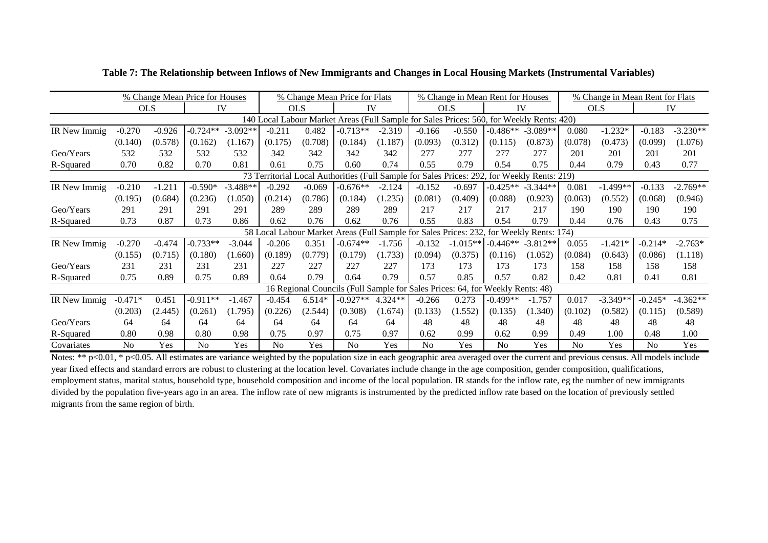|              |                |            | % Change Mean Price for Houses |            |                |            | % Change Mean Price for Flats                                                               |           |                |            | % Change in Mean Rent for Houses |                     | % Change in Mean Rent for Flats |            |                |            |
|--------------|----------------|------------|--------------------------------|------------|----------------|------------|---------------------------------------------------------------------------------------------|-----------|----------------|------------|----------------------------------|---------------------|---------------------------------|------------|----------------|------------|
|              |                | <b>OLS</b> | IV                             |            |                | <b>OLS</b> | <b>IV</b>                                                                                   |           |                | <b>OLS</b> | IV                               |                     |                                 | <b>OLS</b> |                | IV         |
|              |                |            |                                |            |                |            | 140 Local Labour Market Areas (Full Sample for Sales Prices: 560, for Weekly Rents: 420)    |           |                |            |                                  |                     |                                 |            |                |            |
| IR New Immig | $-0.270$       | $-0.926$   | $-0.724**$                     | $-3.092**$ | $-0.211$       | 0.482      | $-0.713**$                                                                                  | $-2.319$  | $-0.166$       | $-0.550$   |                                  | $-0.486** -3.089**$ | 0.080                           | $-1.232*$  | $-0.183$       | $-3.230**$ |
|              | (0.140)        | (0.578)    | (0.162)                        | (1.167)    | (0.175)        | (0.708)    | (0.184)                                                                                     | (1.187)   | (0.093)        | (0.312)    | (0.115)                          | (0.873)             | (0.078)                         | (0.473)    | (0.099)        | (1.076)    |
| Geo/Years    | 532            | 532        | 532                            | 532        | 342            | 342        | 342                                                                                         | 342       | 277            | 277        | 277                              | 277                 | 201                             | 201        | 201            | 201        |
| R-Squared    | 0.70           | 0.82       | 0.70                           | 0.81       | 0.61           | 0.75       | 0.60                                                                                        | 0.74      | 0.55           | 0.79       | 0.54                             | 0.75                | 0.44                            | 0.79       | 0.43           | 0.77       |
|              |                |            |                                |            |                |            | 73 Territorial Local Authorities (Full Sample for Sales Prices: 292, for Weekly Rents: 219) |           |                |            |                                  |                     |                                 |            |                |            |
| IR New Immig | $-0.210$       | $-1.211$   | $-0.590*$                      | $-3.488**$ | $-0.292$       | $-0.069$   | $-0.676**$                                                                                  | $-2.124$  | $-0.152$       | $-0.697$   | $-0.425**$                       | $-3.344**$          | 0.081                           | $-1.499**$ | $-0.133$       | $-2.769**$ |
|              | (0.195)        | (0.684)    | (0.236)                        | (1.050)    | (0.214)        | (0.786)    | (0.184)                                                                                     | (1.235)   | (0.081)        | (0.409)    | (0.088)                          | (0.923)             | (0.063)                         | (0.552)    | (0.068)        | (0.946)    |
| Geo/Years    | 291            | 291        | 291                            | 291        | 289            | 289        | 289                                                                                         | 289       | 217            | 217        | 217                              | 217                 | 190                             | 190        | 190            | 190        |
| R-Squared    | 0.73           | 0.87       | 0.73                           | 0.86       | 0.62           | 0.76       | 0.62                                                                                        | 0.76      | 0.55           | 0.83       | 0.54                             | 0.79                | 0.44                            | 0.76       | 0.43           | 0.75       |
|              |                |            |                                |            |                |            | 58 Local Labour Market Areas (Full Sample for Sales Prices: 232, for Weekly                 |           |                |            |                                  | Rents: 174)         |                                 |            |                |            |
| IR New Immig | $-0.270$       | $-0.474$   | $-0.733**$                     | $-3.044$   | $-0.206$       | 0.351      | $-0.674**$                                                                                  | $-1.756$  | $-0.132$       | $-1.015**$ |                                  | $-0.446** -3.812**$ | 0.055                           | $-1.421*$  | $-0.214*$      | $-2.763*$  |
|              | (0.155)        | (0.715)    | (0.180)                        | (1.660)    | (0.189)        | (0.779)    | (0.179)                                                                                     | (1.733)   | (0.094)        | (0.375)    | (0.116)                          | (1.052)             | (0.084)                         | (0.643)    | (0.086)        | (1.118)    |
| Geo/Years    | 231            | 231        | 231                            | 231        | 227            | 227        | 227                                                                                         | 227       | 173            | 173        | 173                              | 173                 | 158                             | 158        | 158            | 158        |
| R-Squared    | 0.75           | 0.89       | 0.75                           | 0.89       | 0.64           | 0.79       | 0.64                                                                                        | 0.79      | 0.57           | 0.85       | 0.57                             | 0.82                | 0.42                            | 0.81       | 0.41           | 0.81       |
|              |                |            |                                |            |                |            | 16 Regional Councils (Full Sample for Sales Prices: 64, for Weekly Rents: 48)               |           |                |            |                                  |                     |                                 |            |                |            |
| IR New Immig | $-0.471*$      | 0.451      | $-0.911**$                     | $-1.467$   | $-0.454$       | $6.514*$   | $-0.927**$                                                                                  | $4.324**$ | $-0.266$       | 0.273      | $-0.499**$                       | $-1.757$            | 0.017                           | $-3.349**$ | $-0.245*$      | $-4.362**$ |
|              | (0.203)        | (2.445)    | (0.261)                        | (1.795)    | (0.226)        | (2.544)    | (0.308)                                                                                     | (1.674)   | (0.133)        | (1.552)    | (0.135)                          | (1.340)             | (0.102)                         | (0.582)    | (0.115)        | (0.589)    |
| Geo/Years    | 64             | 64         | 64                             | 64         | 64             | 64         | 64                                                                                          | 64        | 48             | 48         | 48                               | 48                  | 48                              | 48         | 48             | 48         |
| R-Squared    | 0.80           | 0.98       | 0.80                           | 0.98       | 0.75           | 0.97       | 0.75                                                                                        | 0.97      | 0.62           | 0.99       | 0.62                             | 0.99                | 0.49                            | 1.00       | 0.48           | 1.00       |
| Covariates   | N <sub>0</sub> | Yes        | N <sub>0</sub>                 | Yes        | N <sub>o</sub> | Yes        | N <sub>o</sub>                                                                              | Yes       | N <sub>o</sub> | Yes        | N <sub>o</sub>                   | Yes                 | N <sub>o</sub>                  | Yes        | N <sub>o</sub> | Yes        |

**Table 7: The Relationship between Inflows of New Immigrants and Changes in Local Housing Markets (Instrumental Variables)**

Notes: \*\* p<0.01, \* p<0.05. All estimates are variance weighted by the population size in each geographic area averaged over the current and previous census. All models include year fixed effects and standard errors are robust to clustering at the location level. Covariates include change in the age composition, gender composition, qualifications, employment status, marital status, household type, household composition and income of the local population. IR stands for the inflow rate, eg the number of new immigrants divided by the population five-years ago in an area. The inflow rate of new migrants is instrumented by the predicted inflow rate based on the location of previously settled migrants from the same region of birth.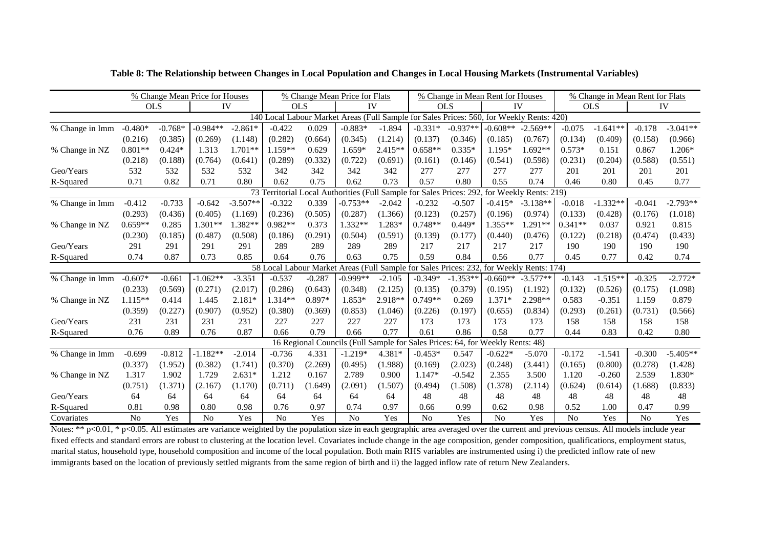|                 |                |           | % Change Mean Price for Houses |            |                |          | % Change Mean Price for Flats                                                            |           |                | % Change in Mean Rent for Houses |                |             | % Change in Mean Rent for Flats |            |                |            |
|-----------------|----------------|-----------|--------------------------------|------------|----------------|----------|------------------------------------------------------------------------------------------|-----------|----------------|----------------------------------|----------------|-------------|---------------------------------|------------|----------------|------------|
|                 | <b>OLS</b>     |           | <b>IV</b>                      |            | <b>OLS</b>     |          | IV                                                                                       |           |                | <b>OLS</b>                       |                | IV          |                                 | <b>OLS</b> |                | IV         |
|                 |                |           |                                |            |                |          | 140 Local Labour Market Areas (Full Sample for Sales Prices: 560, for Weekly Rents: 420) |           |                |                                  |                |             |                                 |            |                |            |
| % Change in Imm | $-0.480*$      | $-0.768*$ | $-0.984**$                     | $-2.861*$  | $-0.422$       | 0.029    | $-0.883*$                                                                                | $-1.894$  | $-0.331*$      | $-0.937**$                       | $-0.608**$     | $-2.569**$  | $-0.075$                        | $-1.641**$ | $-0.178$       | $-3.041**$ |
|                 | (0.216)        | (0.385)   | (0.269)                        | (1.148)    | (0.282)        | (0.664)  | (0.345)                                                                                  | (1.214)   | (0.137)        | (0.346)                          | (0.185)        | (0.767)     | (0.134)                         | (0.409)    | (0.158)        | (0.966)    |
| % Change in NZ  | $0.801**$      | $0.424*$  | 1.313                          | $1.701**$  | $1.159**$      | 0.629    | 1.659*                                                                                   | $2.415**$ | $0.658**$      | $0.335*$                         | 1.195*         | 1.692**     | $0.573*$                        | 0.151      | 0.867          | 1.206*     |
|                 | (0.218)        | (0.188)   | (0.764)                        | (0.641)    | (0.289)        | (0.332)  | (0.722)                                                                                  | (0.691)   | (0.161)        | (0.146)                          | (0.541)        | (0.598)     | (0.231)                         | (0.204)    | (0.588)        | (0.551)    |
| Geo/Years       | 532            | 532       | 532                            | 532        | 342            | 342      | 342                                                                                      | 342       | 277            | 277                              | 277            | 277         | 201                             | 201        | 201            | 201        |
| R-Squared       | 0.71           | 0.82      | 0.71                           | 0.80       | 0.62           | 0.75     | 0.62                                                                                     | 0.73      | 0.57           | 0.80                             | 0.55           | 0.74        | 0.46                            | 0.80       | 0.45           | 0.77       |
|                 |                |           |                                |            |                |          | 73 Territorial Local Authorities (Full Sample for Sales Prices: 292,                     |           |                |                                  | for Weekly     | Rents: 219) |                                 |            |                |            |
| % Change in Imm | $-0.412$       | $-0.733$  | $-0.642$                       | $-3.507**$ | $-0.322$       | 0.339    | $-0.753**$                                                                               | $-2.042$  | $-0.232$       | $-0.507$                         | $-0.415*$      | $-3.138**$  | $-0.018$                        | $-1.332**$ | $-0.041$       | $-2.793**$ |
|                 | (0.293)        | (0.436)   | (0.405)                        | (1.169)    | (0.236)        | (0.505)  | (0.287)                                                                                  | (1.366)   | (0.123)        | (0.257)                          | (0.196)        | (0.974)     | (0.133)                         | (0.428)    | (0.176)        | (1.018)    |
| % Change in NZ  | $0.659**$      | 0.285     | $1.301**$                      | 1.382**    | $0.982**$      | 0.373    | 1.332**                                                                                  | 1.283*    | $0.748**$      | $0.449*$                         | $1.355**$      | 1.291**     | $0.341**$                       | 0.037      | 0.921          | 0.815      |
|                 | (0.230)        | (0.185)   | (0.487)                        | (0.508)    | (0.186)        | (0.291)  | (0.504)                                                                                  | (0.591)   | (0.139)        | (0.177)                          | (0.440)        | (0.476)     | (0.122)                         | (0.218)    | (0.474)        | (0.433)    |
| Geo/Years       | 291            | 291       | 291                            | 291        | 289            | 289      | 289                                                                                      | 289       | 217            | 217                              | 217            | 217         | 190                             | 190        | 190            | 190        |
| R-Squared       | 0.74           | 0.87      | 0.73                           | 0.85       | 0.64           | 0.76     | 0.63                                                                                     | 0.75      | 0.59           | 0.84                             | 0.56           | 0.77        | 0.45                            | 0.77       | 0.42           | 0.74       |
|                 |                |           |                                |            |                |          | 58 Local Labour Market Areas (Full Sample for Sales Prices: 232, for Weekly              |           |                |                                  |                | Rents: 174) |                                 |            |                |            |
| % Change in Imm | $-0.607*$      | $-0.661$  | $-1.062**$                     | $-3.351$   | $-0.537$       | $-0.287$ | $-0.999**$                                                                               | $-2.105$  | $-0.349*$      | $-1.353**$                       | $-0.660**$     | $-3.577**$  | $-0.143$                        | $-1.515**$ | $-0.325$       | $-2.772*$  |
|                 | (0.233)        | (0.569)   | (0.271)                        | (2.017)    | (0.286)        | (0.643)  | (0.348)                                                                                  | (2.125)   | (0.135)        | (0.379)                          | (0.195)        | (1.192)     | (0.132)                         | (0.526)    | (0.175)        | (1.098)    |
| % Change in NZ  | $1.115**$      | 0.414     | 1.445                          | $2.181*$   | 1.314**        | 0.897*   | 1.853*                                                                                   | 2.918**   | $0.749**$      | 0.269                            | 1.371*         | 2.298**     | 0.583                           | $-0.351$   | 1.159          | 0.879      |
|                 | (0.359)        | (0.227)   | (0.907)                        | (0.952)    | (0.380)        | (0.369)  | (0.853)                                                                                  | (1.046)   | (0.226)        | (0.197)                          | (0.655)        | (0.834)     | (0.293)                         | (0.261)    | (0.731)        | (0.566)    |
| Geo/Years       | 231            | 231       | 231                            | 231        | 227            | 227      | 227                                                                                      | 227       | 173            | 173                              | 173            | 173         | 158                             | 158        | 158            | 158        |
| R-Squared       | 0.76           | 0.89      | 0.76                           | 0.87       | 0.66           | 0.79     | 0.66                                                                                     | 0.77      | 0.61           | 0.86                             | 0.58           | 0.77        | 0.44                            | 0.83       | 0.42           | 0.80       |
|                 |                |           |                                |            |                |          | 16 Regional Councils (Full Sample for Sales Prices: 64, for Weekly Rents: 48)            |           |                |                                  |                |             |                                 |            |                |            |
| % Change in Imm | $-0.699$       | $-0.812$  | $-1.182**$                     | $-2.014$   | $-0.736$       | 4.331    | $-1.219*$                                                                                | 4.381*    | $-0.453*$      | 0.547                            | $-0.622*$      | $-5.070$    | $-0.172$                        | $-1.541$   | $-0.300$       | $-5.405**$ |
|                 | (0.337)        | (1.952)   | (0.382)                        | (1.741)    | (0.370)        | (2.269)  | (0.495)                                                                                  | (1.988)   | (0.169)        | (2.023)                          | (0.248)        | (3.441)     | (0.165)                         | (0.800)    | (0.278)        | (1.428)    |
| % Change in NZ  | 1.317          | 1.902     | 1.729                          | $2.631*$   | 1.212          | 0.167    | 2.789                                                                                    | 0.900     | 1.147*         | $-0.542$                         | 2.355          | 3.500       | 1.120                           | $-0.260$   | 2.539          | 1.830*     |
|                 | (0.751)        | (1.371)   | (2.167)                        | (1.170)    | (0.711)        | (1.649)  | (2.091)                                                                                  | (1.507)   | (0.494)        | (1.508)                          | (1.378)        | (2.114)     | (0.624)                         | (0.614)    | (1.688)        | (0.833)    |
| Geo/Years       | 64             | 64        | 64                             | 64         | 64             | 64       | 64                                                                                       | 64        | 48             | 48                               | 48             | 48          | 48                              | 48         | 48             | 48         |
| R-Squared       | 0.81           | 0.98      | 0.80                           | 0.98       | 0.76           | 0.97     | 0.74                                                                                     | 0.97      | 0.66           | 0.99                             | 0.62           | 0.98        | 0.52                            | 1.00       | 0.47           | 0.99       |
| Covariates      | N <sub>o</sub> | Yes       | N <sub>o</sub>                 | Yes        | N <sub>o</sub> | Yes      | N <sub>0</sub>                                                                           | Yes       | N <sub>o</sub> | Yes                              | N <sub>o</sub> | Yes         | N <sub>o</sub>                  | Yes        | N <sub>o</sub> | Yes        |

**Table 8: The Relationship between Changes in Local Population and Changes in Local Housing Markets (Instrumental Variables)**

Notes: \*\* p<0.01, \* p<0.05. All estimates are variance weighted by the population size in each geographic area averaged over the current and previous census. All models include year fixed effects and standard errors are robust to clustering at the location level. Covariates include change in the age composition, gender composition, qualifications, employment status, marital status, household type, household composition and income of the local population. Both main RHS variables are instrumented using i) the predicted inflow rate of new immigrants based on the location of previously settled migrants from the same region of birth and ii) the lagged inflow rate of return New Zealanders.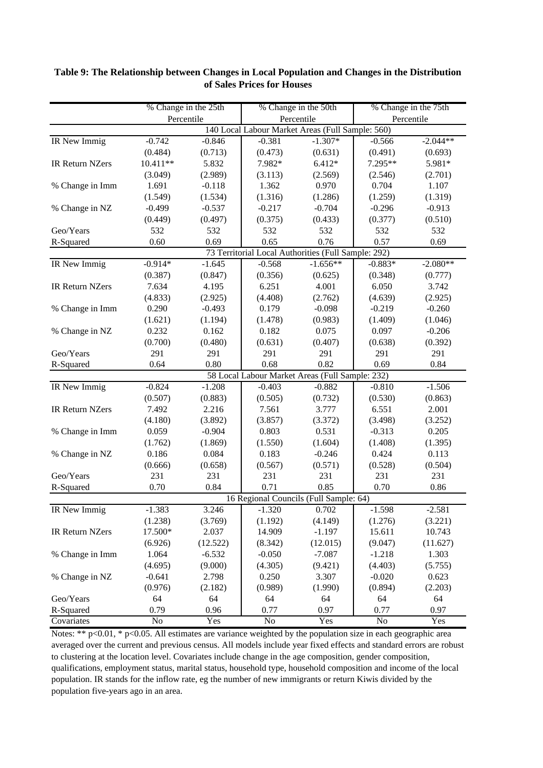|                        | % Change in the 25th                                |          |          | % Change in the 50th                             | % Change in the 75th |            |  |  |  |  |  |
|------------------------|-----------------------------------------------------|----------|----------|--------------------------------------------------|----------------------|------------|--|--|--|--|--|
|                        | Percentile                                          |          |          | Percentile                                       |                      | Percentile |  |  |  |  |  |
|                        |                                                     |          |          | 140 Local Labour Market Areas (Full Sample: 560) |                      |            |  |  |  |  |  |
| IR New Immig           | $-0.742$                                            | $-0.846$ | $-0.381$ | $-1.307*$                                        | $-0.566$             | $-2.044**$ |  |  |  |  |  |
|                        | (0.484)                                             | (0.713)  | (0.473)  | (0.631)                                          | (0.491)              | (0.693)    |  |  |  |  |  |
| IR Return NZers        | $10.411**$                                          | 5.832    | 7.982*   | $6.412*$                                         | 7.295**              | 5.981*     |  |  |  |  |  |
|                        | (3.049)                                             | (2.989)  | (3.113)  | (2.569)                                          | (2.546)              | (2.701)    |  |  |  |  |  |
| % Change in Imm        | 1.691                                               | $-0.118$ | 1.362    | 0.970                                            | 0.704                | 1.107      |  |  |  |  |  |
|                        | (1.549)                                             | (1.534)  | (1.316)  | (1.286)                                          | (1.259)              | (1.319)    |  |  |  |  |  |
| % Change in NZ         | $-0.499$                                            | $-0.537$ | $-0.217$ | $-0.704$                                         | $-0.296$             | $-0.913$   |  |  |  |  |  |
|                        | (0.449)                                             | (0.497)  | (0.375)  | (0.433)                                          | (0.377)              | (0.510)    |  |  |  |  |  |
| Geo/Years              | 532                                                 | 532      | 532      | 532                                              | 532                  | 532        |  |  |  |  |  |
| R-Squared              | 0.60                                                | 0.69     | 0.65     | 0.76                                             | 0.57                 | 0.69       |  |  |  |  |  |
|                        | 73 Territorial Local Authorities (Full Sample: 292) |          |          |                                                  |                      |            |  |  |  |  |  |
| IR New Immig           | $-0.914*$                                           | $-1.645$ | $-0.568$ | $-1.656**$                                       | $-0.883*$            | $-2.080**$ |  |  |  |  |  |
|                        | (0.387)                                             | (0.847)  | (0.356)  | (0.625)                                          | (0.348)              | (0.777)    |  |  |  |  |  |
| <b>IR Return NZers</b> | 7.634                                               | 4.195    | 6.251    | 4.001                                            | 6.050                | 3.742      |  |  |  |  |  |
|                        | (4.833)                                             | (2.925)  | (4.408)  | (2.762)                                          | (4.639)              | (2.925)    |  |  |  |  |  |
| % Change in Imm        | 0.290                                               | $-0.493$ | 0.179    | $-0.098$                                         | $-0.219$             | $-0.260$   |  |  |  |  |  |
|                        | (1.621)                                             | (1.194)  | (1.478)  | (0.983)                                          | (1.409)              | (1.046)    |  |  |  |  |  |
| % Change in NZ         | 0.232                                               | 0.162    | 0.182    | 0.075                                            | 0.097                | $-0.206$   |  |  |  |  |  |
|                        | (0.700)                                             | (0.480)  | (0.631)  | (0.407)                                          | (0.638)              | (0.392)    |  |  |  |  |  |
| Geo/Years              | 291                                                 | 291      | 291      | 291                                              | 291                  | 291        |  |  |  |  |  |
| R-Squared              | 0.64                                                | 0.80     | 0.68     | 0.82                                             | 0.69                 | 0.84       |  |  |  |  |  |
|                        |                                                     |          |          | 58 Local Labour Market Areas (Full Sample: 232)  |                      |            |  |  |  |  |  |
| IR New Immig           | $-0.824$                                            | $-1.208$ | $-0.403$ | $-0.882$                                         | $-0.810$             | $-1.506$   |  |  |  |  |  |
|                        | (0.507)                                             | (0.883)  | (0.505)  | (0.732)                                          | (0.530)              | (0.863)    |  |  |  |  |  |
| IR Return NZers        | 7.492                                               | 2.216    | 7.561    | 3.777                                            | 6.551                | 2.001      |  |  |  |  |  |
|                        | (4.180)                                             | (3.892)  | (3.857)  | (3.372)                                          | (3.498)              | (3.252)    |  |  |  |  |  |
| % Change in Imm        | 0.059                                               | $-0.904$ | 0.803    | 0.531                                            | $-0.313$             | 0.205      |  |  |  |  |  |
|                        | (1.762)                                             | (1.869)  | (1.550)  | (1.604)                                          | (1.408)              | (1.395)    |  |  |  |  |  |
| % Change in NZ         | 0.186                                               | 0.084    | 0.183    | $-0.246$                                         | 0.424                | 0.113      |  |  |  |  |  |
|                        | (0.666)                                             | (0.658)  | (0.567)  | (0.571)                                          | (0.528)              | (0.504)    |  |  |  |  |  |
| Geo/Years              | 231                                                 | 231      | 231      | 231                                              | 231                  | 231        |  |  |  |  |  |
| R-Squared              | 0.70                                                | 0.84     | 0.71     | 0.85                                             | 0.70                 | 0.86       |  |  |  |  |  |
|                        |                                                     |          |          | 16 Regional Councils (Full Sample: 64)           |                      |            |  |  |  |  |  |
| IR New Immig           | $-1.383$                                            | 3.246    | $-1.320$ | 0.702                                            | $-1.598$             | $-2.581$   |  |  |  |  |  |
|                        | (1.238)                                             | (3.769)  | (1.192)  | (4.149)                                          | (1.276)              | (3.221)    |  |  |  |  |  |
| IR Return NZers        | 17.500*                                             | 2.037    | 14.909   | $-1.197$                                         | 15.611               | 10.743     |  |  |  |  |  |
|                        | (6.926)                                             | (12.522) | (8.342)  | (12.015)                                         | (9.047)              | (11.627)   |  |  |  |  |  |
| % Change in Imm        | 1.064                                               | $-6.532$ | $-0.050$ | $-7.087$                                         | $-1.218$             | 1.303      |  |  |  |  |  |
|                        | (4.695)                                             | (9.000)  | (4.305)  | (9.421)                                          | (4.403)              | (5.755)    |  |  |  |  |  |
| % Change in NZ         | $-0.641$                                            | 2.798    | 0.250    | 3.307                                            | $-0.020$             | 0.623      |  |  |  |  |  |
|                        | (0.976)                                             | (2.182)  | (0.989)  | (1.990)                                          | (0.894)              | (2.203)    |  |  |  |  |  |
| Geo/Years              | 64                                                  | 64       | 64       | 64                                               | 64                   | 64         |  |  |  |  |  |
| R-Squared              | 0.79                                                | 0.96     | 0.77     | 0.97                                             | 0.77                 | 0.97       |  |  |  |  |  |
| Covariates             | N <sub>0</sub>                                      | Yes      | No       | Yes                                              | No                   | Yes        |  |  |  |  |  |

## **Table 9: The Relationship between Changes in Local Population and Changes in the Distribution of Sales Prices for Houses**

Notes: \*\* p<0.01, \* p<0.05. All estimates are variance weighted by the population size in each geographic area averaged over the current and previous census. All models include year fixed effects and standard errors are robust to clustering at the location level. Covariates include change in the age composition, gender composition, qualifications, employment status, marital status, household type, household composition and income of the local population. IR stands for the inflow rate, eg the number of new immigrants or return Kiwis divided by the population five-years ago in an area.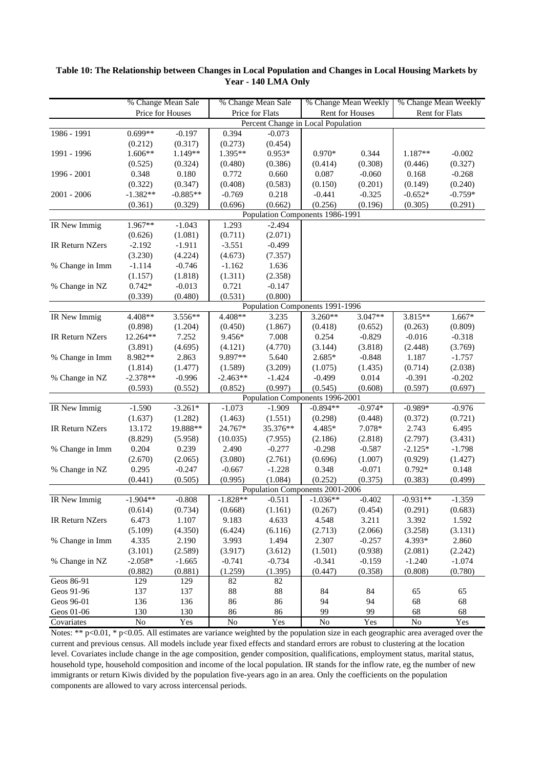|                 |            | % Change Mean Sale |            | % Change Mean Sale | % Change Mean Weekly               |           | % Change Mean Weekly |           |
|-----------------|------------|--------------------|------------|--------------------|------------------------------------|-----------|----------------------|-----------|
|                 |            | Price for Houses   |            | Price for Flats    | Rent for Houses                    |           | Rent for Flats       |           |
|                 |            |                    |            |                    | Percent Change in Local Population |           |                      |           |
| 1986 - 1991     | $0.699**$  | $-0.197$           | 0.394      | $-0.073$           |                                    |           |                      |           |
|                 | (0.212)    | (0.317)            | (0.273)    | (0.454)            |                                    |           |                      |           |
| 1991 - 1996     | 1.606**    | 1.149**            | 1.395**    | $0.953*$           | $0.970*$                           | 0.344     | 1.187**              | $-0.002$  |
|                 | (0.525)    | (0.324)            | (0.480)    | (0.386)            | (0.414)                            | (0.308)   | (0.446)              | (0.327)   |
| 1996 - 2001     | 0.348      | 0.180              | 0.772      | 0.660              | 0.087                              | $-0.060$  | 0.168                | $-0.268$  |
|                 | (0.322)    | (0.347)            | (0.408)    | (0.583)            | (0.150)                            | (0.201)   | (0.149)              | (0.240)   |
| $2001 - 2006$   | $-1.382**$ | $-0.885**$         | $-0.769$   | 0.218              | $-0.441$                           | $-0.325$  | $-0.652*$            | $-0.759*$ |
|                 | (0.361)    | (0.329)            | (0.696)    | (0.662)            | (0.256)                            | (0.196)   | (0.305)              | (0.291)   |
|                 |            |                    |            |                    | Population Components 1986-1991    |           |                      |           |
| IR New Immig    | $1.967**$  | $-1.043$           | 1.293      | $-2.494$           |                                    |           |                      |           |
|                 | (0.626)    | (1.081)            | (0.711)    | (2.071)            |                                    |           |                      |           |
| IR Return NZers | $-2.192$   | $-1.911$           | $-3.551$   | $-0.499$           |                                    |           |                      |           |
|                 | (3.230)    | (4.224)            | (4.673)    | (7.357)            |                                    |           |                      |           |
| % Change in Imm | $-1.114$   | $-0.746$           | $-1.162$   | 1.636              |                                    |           |                      |           |
|                 | (1.157)    | (1.818)            | (1.311)    | (2.358)            |                                    |           |                      |           |
| % Change in NZ  | $0.742*$   | $-0.013$           | 0.721      | $-0.147$           |                                    |           |                      |           |
|                 | (0.339)    | (0.480)            | (0.531)    | (0.800)            |                                    |           |                      |           |
|                 |            |                    |            |                    | Population Components 1991-1996    |           |                      |           |
| IR New Immig    | 4.408**    | 3.556**            | 4.408**    | 3.235              | $3.260**$                          | $3.047**$ | $3.815**$            | $1.667*$  |
|                 | (0.898)    | (1.204)            | (0.450)    | (1.867)            | (0.418)                            | (0.652)   | (0.263)              | (0.809)   |
| IR Return NZers | 12.264**   | 7.252              | 9.456*     | 7.008              | 0.254                              | $-0.829$  | $-0.016$             | $-0.318$  |
|                 | (3.891)    | (4.695)            | (4.121)    | (4.770)            | (3.144)                            | (3.818)   | (2.448)              | (3.769)   |
| % Change in Imm | 8.982**    | 2.863              | 9.897**    | 5.640              | $2.685*$                           | $-0.848$  | 1.187                | $-1.757$  |
|                 | (1.814)    | (1.477)            | (1.589)    | (3.209)            | (1.075)                            | (1.435)   | (0.714)              | (2.038)   |
| % Change in NZ  | $-2.378**$ | $-0.996$           | $-2.463**$ | $-1.424$           | $-0.499$                           | 0.014     | $-0.391$             | $-0.202$  |
|                 | (0.593)    | (0.552)            | (0.852)    | (0.997)            | (0.545)                            | (0.608)   | (0.597)              | (0.697)   |
|                 |            |                    |            |                    | Population Components 1996-2001    |           |                      |           |
| IR New Immig    | $-1.590$   | $-3.261*$          | $-1.073$   | $-1.909$           | $-0.894**$                         | $-0.974*$ | $-0.989*$            | $-0.976$  |
|                 | (1.637)    | (1.282)            | (1.463)    | (1.551)            | (0.298)                            | (0.448)   | (0.372)              | (0.721)   |
| IR Return NZers | 13.172     | 19.888**           | 24.767*    | 35.376**           | 4.485*                             | $7.078*$  | 2.743                | 6.495     |
|                 | (8.829)    | (5.958)            | (10.035)   | (7.955)            | (2.186)                            | (2.818)   | (2.797)              | (3.431)   |
| % Change in Imm | 0.204      | 0.239              | 2.490      | $-0.277$           | $-0.298$                           | $-0.587$  | $-2.125*$            | $-1.798$  |
|                 | (2.670)    | (2.065)            | (3.080)    | (2.761)            | (0.696)                            | (1.007)   | (0.929)              | (1.427)   |
| % Change in NZ  | 0.295      | $-0.247$           | $-0.667$   | $-1.228$           | 0.348                              | $-0.071$  | $0.792*$             | 0.148     |
|                 | (0.441)    | (0.505)            | (0.995)    | (1.084)            | (0.252)                            | (0.375)   | (0.383)              | (0.499)   |
|                 |            |                    |            |                    | Population Components 2001-2006    |           |                      |           |
| IR New Immig    | $-1.904**$ | $-0.808$           | $-1.828**$ | $-0.511$           | $-1.036**$                         | $-0.402$  | $-0.931**$           | $-1.359$  |
|                 | (0.614)    | (0.734)            | (0.668)    | (1.161)            | (0.267)                            | (0.454)   | (0.291)              | (0.683)   |
| IR Return NZers | 6.473      | 1.107              | 9.183      | 4.633              | 4.548                              | 3.211     | 3.392                | 1.592     |
|                 | (5.109)    | (4.350)            | (6.424)    | (6.116)            | (2.713)                            | (2.066)   | (3.258)              | (3.131)   |
| % Change in Imm | 4.335      | 2.190              | 3.993      | 1.494              | 2.307                              | $-0.257$  | 4.393*               | 2.860     |
|                 | (3.101)    | (2.589)            | (3.917)    | (3.612)            | (1.501)                            | (0.938)   | (2.081)              | (2.242)   |
| % Change in NZ  | $-2.058*$  | $-1.665$           | $-0.741$   | $-0.734$           | $-0.341$                           | $-0.159$  | $-1.240$             | $-1.074$  |
|                 | (0.882)    | (0.881)            | (1.259)    | (1.395)            | (0.447)                            | (0.358)   | (0.808)              | (0.780)   |
| Geos 86-91      | 129        | 129                | 82         | 82                 |                                    |           |                      |           |
| Geos 91-96      | 137        | 137                | $88\,$     | 88                 | 84                                 | 84        | 65                   | 65        |
| Geos 96-01      | 136        | 136                | 86         | 86                 | 94                                 | 94        | 68                   | 68        |
| Geos 01-06      | 130        | 130                | 86         | 86                 | 99                                 | 99        | 68                   | 68        |
| Covariates      | $\rm No$   | Yes                | $\rm No$   | Yes                | ${\bf No}$                         | Yes       | $\rm No$             | Yes       |

## **Table 10: The Relationship between Changes in Local Population and Changes in Local Housing Markets by Year - 140 LMA Only**

Notes: \*\* p<0.01, \* p<0.05. All estimates are variance weighted by the population size in each geographic area averaged over the current and previous census. All models include year fixed effects and standard errors are robust to clustering at the location level. Covariates include change in the age composition, gender composition, qualifications, employment status, marital status, household type, household composition and income of the local population. IR stands for the inflow rate, eg the number of new immigrants or return Kiwis divided by the population five-years ago in an area. Only the coefficients on the population components are allowed to vary across intercensal periods.